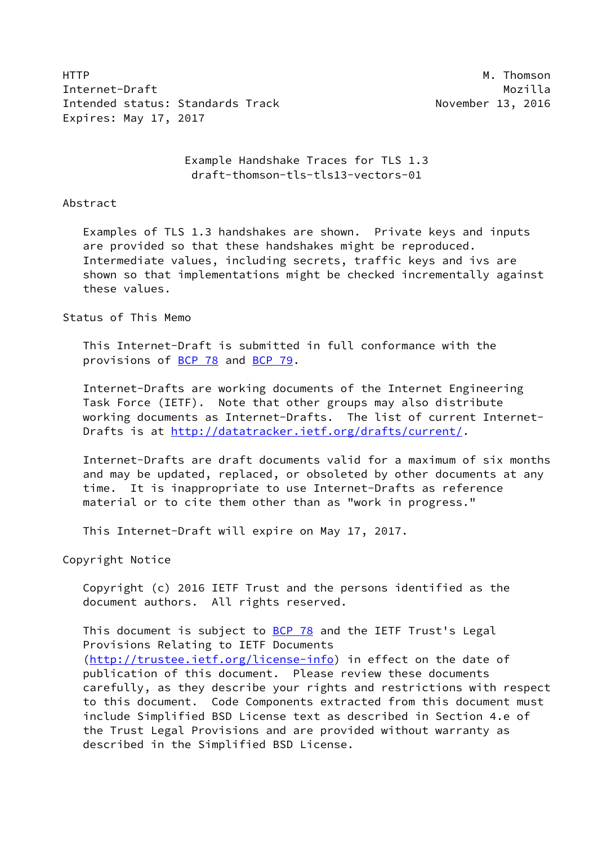HTTP M. Thomson Internet-Draft Mozilla Intended status: Standards Track November 13, 2016 Expires: May 17, 2017

 Example Handshake Traces for TLS 1.3 draft-thomson-tls-tls13-vectors-01

### Abstract

 Examples of TLS 1.3 handshakes are shown. Private keys and inputs are provided so that these handshakes might be reproduced. Intermediate values, including secrets, traffic keys and ivs are shown so that implementations might be checked incrementally against these values.

## Status of This Memo

 This Internet-Draft is submitted in full conformance with the provisions of [BCP 78](https://datatracker.ietf.org/doc/pdf/bcp78) and [BCP 79](https://datatracker.ietf.org/doc/pdf/bcp79).

 Internet-Drafts are working documents of the Internet Engineering Task Force (IETF). Note that other groups may also distribute working documents as Internet-Drafts. The list of current Internet- Drafts is at<http://datatracker.ietf.org/drafts/current/>.

 Internet-Drafts are draft documents valid for a maximum of six months and may be updated, replaced, or obsoleted by other documents at any time. It is inappropriate to use Internet-Drafts as reference material or to cite them other than as "work in progress."

This Internet-Draft will expire on May 17, 2017.

Copyright Notice

 Copyright (c) 2016 IETF Trust and the persons identified as the document authors. All rights reserved.

This document is subject to **[BCP 78](https://datatracker.ietf.org/doc/pdf/bcp78)** and the IETF Trust's Legal Provisions Relating to IETF Documents [\(http://trustee.ietf.org/license-info](http://trustee.ietf.org/license-info)) in effect on the date of publication of this document. Please review these documents carefully, as they describe your rights and restrictions with respect to this document. Code Components extracted from this document must include Simplified BSD License text as described in Section 4.e of the Trust Legal Provisions and are provided without warranty as described in the Simplified BSD License.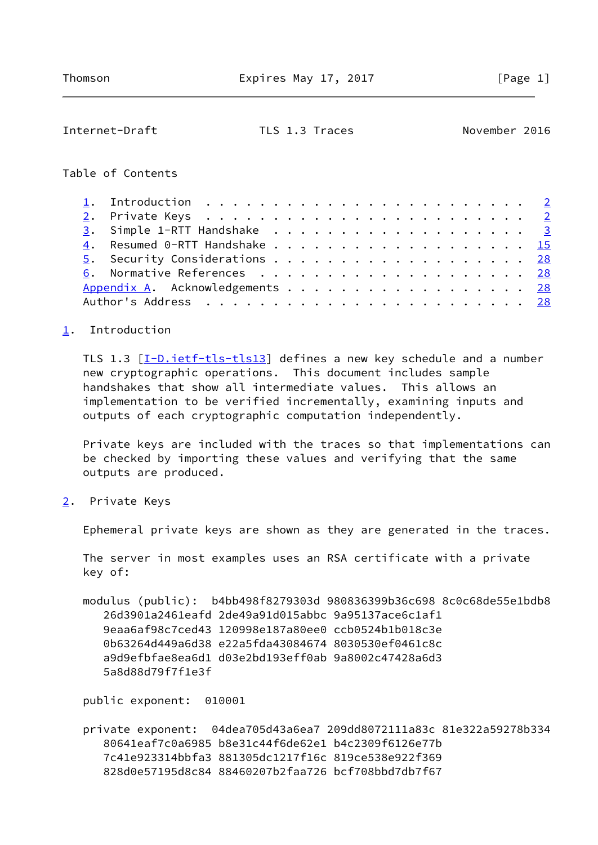### <span id="page-1-1"></span>Internet-Draft TLS 1.3 Traces November 2016

## Table of Contents

| 1. Introduction $\ldots \ldots \ldots \ldots \ldots \ldots \ldots \ldots \ldots$ |  |
|----------------------------------------------------------------------------------|--|
|                                                                                  |  |
|                                                                                  |  |
|                                                                                  |  |
| 5. Security Considerations 28                                                    |  |
|                                                                                  |  |
| Appendix A. Acknowledgements 28                                                  |  |
|                                                                                  |  |

## <span id="page-1-0"></span>[1](#page-1-0). Introduction

TLS 1.3 [\[I-D.ietf-tls-tls13\]](#page-31-2) defines a new key schedule and a number new cryptographic operations. This document includes sample handshakes that show all intermediate values. This allows an implementation to be verified incrementally, examining inputs and outputs of each cryptographic computation independently.

 Private keys are included with the traces so that implementations can be checked by importing these values and verifying that the same outputs are produced.

<span id="page-1-2"></span>[2](#page-1-2). Private Keys

Ephemeral private keys are shown as they are generated in the traces.

 The server in most examples uses an RSA certificate with a private key of:

 modulus (public): b4bb498f8279303d 980836399b36c698 8c0c68de55e1bdb8 26d3901a2461eafd 2de49a91d015abbc 9a95137ace6c1af1 9eaa6af98c7ced43 120998e187a80ee0 ccb0524b1b018c3e 0b63264d449a6d38 e22a5fda43084674 8030530ef0461c8c a9d9efbfae8ea6d1 d03e2bd193eff0ab 9a8002c47428a6d3 5a8d88d79f7f1e3f

public exponent: 010001

 private exponent: 04dea705d43a6ea7 209dd8072111a83c 81e322a59278b334 80641eaf7c0a6985 b8e31c44f6de62e1 b4c2309f6126e77b 7c41e923314bbfa3 881305dc1217f16c 819ce538e922f369 828d0e57195d8c84 88460207b2faa726 bcf708bbd7db7f67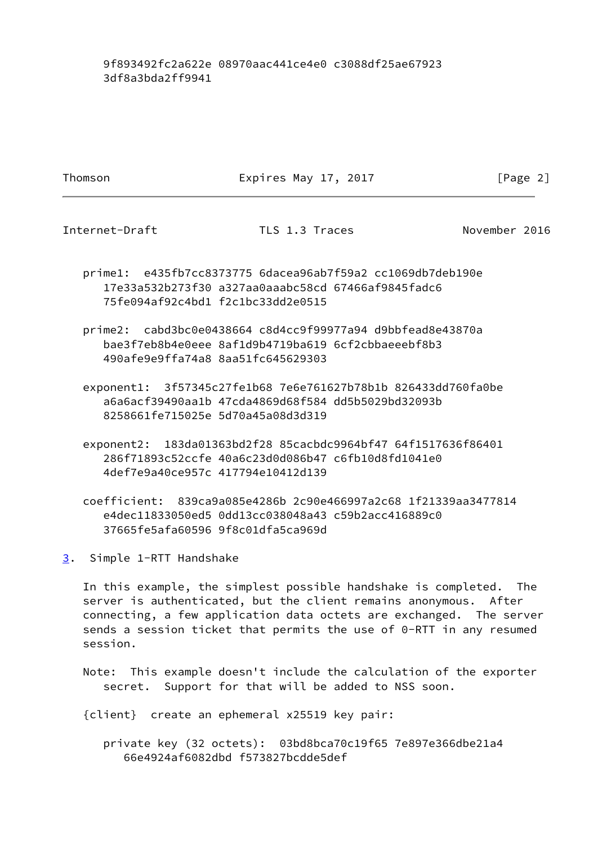# 9f893492fc2a622e 08970aac441ce4e0 c3088df25ae67923 3df8a3bda2ff9941

Thomson **Expires May 17, 2017** [Page 2]

<span id="page-2-1"></span>Internet-Draft TLS 1.3 Traces November 2016

- prime1: e435fb7cc8373775 6dacea96ab7f59a2 cc1069db7deb190e 17e33a532b273f30 a327aa0aaabc58cd 67466af9845fadc6 75fe094af92c4bd1 f2c1bc33dd2e0515
- prime2: cabd3bc0e0438664 c8d4cc9f99977a94 d9bbfead8e43870a bae3f7eb8b4e0eee 8af1d9b4719ba619 6cf2cbbaeeebf8b3 490afe9e9ffa74a8 8aa51fc645629303
- exponent1: 3f57345c27fe1b68 7e6e761627b78b1b 826433dd760fa0be a6a6acf39490aa1b 47cda4869d68f584 dd5b5029bd32093b 8258661fe715025e 5d70a45a08d3d319
- exponent2: 183da01363bd2f28 85cacbdc9964bf47 64f1517636f86401 286f71893c52ccfe 40a6c23d0d086b47 c6fb10d8fd1041e0 4def7e9a40ce957c 417794e10412d139

 coefficient: 839ca9a085e4286b 2c90e466997a2c68 1f21339aa3477814 e4dec11833050ed5 0dd13cc038048a43 c59b2acc416889c0 37665fe5afa60596 9f8c01dfa5ca969d

<span id="page-2-0"></span>[3](#page-2-0). Simple 1-RTT Handshake

 In this example, the simplest possible handshake is completed. The server is authenticated, but the client remains anonymous. After connecting, a few application data octets are exchanged. The server sends a session ticket that permits the use of 0-RTT in any resumed session.

 Note: This example doesn't include the calculation of the exporter secret. Support for that will be added to NSS soon.

{client} create an ephemeral x25519 key pair:

 private key (32 octets): 03bd8bca70c19f65 7e897e366dbe21a4 66e4924af6082dbd f573827bcdde5def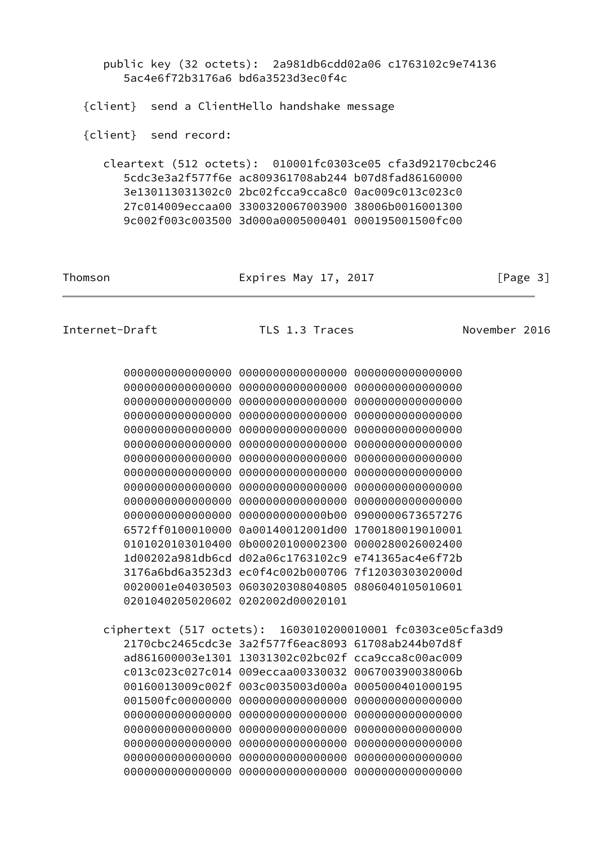| public key (32 octets): 2a981db6cdd02a06 c1763102c9e74136<br>5ac4e6f72b3176a6 bd6a3523d3ec0f4c                                                                                                                                    |                                                                                                                                                                                                                                                                                                                                                                                                                                                                                                                                                                                                                                                                                         |                                    |               |  |  |
|-----------------------------------------------------------------------------------------------------------------------------------------------------------------------------------------------------------------------------------|-----------------------------------------------------------------------------------------------------------------------------------------------------------------------------------------------------------------------------------------------------------------------------------------------------------------------------------------------------------------------------------------------------------------------------------------------------------------------------------------------------------------------------------------------------------------------------------------------------------------------------------------------------------------------------------------|------------------------------------|---------------|--|--|
| {client} send a ClientHello handshake message                                                                                                                                                                                     |                                                                                                                                                                                                                                                                                                                                                                                                                                                                                                                                                                                                                                                                                         |                                    |               |  |  |
| {client} send record:                                                                                                                                                                                                             |                                                                                                                                                                                                                                                                                                                                                                                                                                                                                                                                                                                                                                                                                         |                                    |               |  |  |
| cleartext (512 octets): 010001fc0303ce05 cfa3d92170cbc246                                                                                                                                                                         | 5cdc3e3a2f577f6e ac809361708ab244 b07d8fad86160000<br>3e130113031302c0 2bc02fcca9cca8c0 0ac009c013c023c0<br>27c014009eccaa00 3300320067003900 38006b0016001300<br>9c002f003c003500 3d000a0005000401 000195001500fc00                                                                                                                                                                                                                                                                                                                                                                                                                                                                    |                                    |               |  |  |
| Thomson                                                                                                                                                                                                                           | Expires May 17, 2017                                                                                                                                                                                                                                                                                                                                                                                                                                                                                                                                                                                                                                                                    |                                    | [Page $3$ ]   |  |  |
| Internet-Draft                                                                                                                                                                                                                    | TLS 1.3 Traces                                                                                                                                                                                                                                                                                                                                                                                                                                                                                                                                                                                                                                                                          |                                    | November 2016 |  |  |
| 000000000000000<br>000000000000000<br>000000000000000<br>000000000000000<br>000000000000000<br>000000000000000<br>000000000000000<br>000000000000000<br>000000000000000<br>000000000000000<br>000000000000000<br>1d00202a981db6cd | 0000000000000000 0000000000000000<br>0000000000000000 00000000000000000<br>0000000000000000 00000000000000000<br>0000000000000000 0000000000000000<br>0000000000000000 00000000000000000<br>000000000000000<br>0000000000000000 00000000000000000<br>0000000000000000 00000000000000000<br>0000000000000000 00000000000000000<br>000000000000000<br>0000000000000b00 0900000673657276<br>6572ff0100010000 0a00140012001d00 1700180019010001<br>0101020103010400 0b00020100002300 0000280026002400<br>d02a06c1763102c9 e741365ac4e6f72b<br>3176a6bd6a3523d3 ec0f4c002b000706 7f1203030302000d<br>0020001e04030503 0603020308040805 0806040105010601<br>0201040205020602 0202002d00020101 | 000000000000000<br>000000000000000 |               |  |  |
| ciphertext (517 octets): 1603010200010001 fc0303ce05cfa3d9                                                                                                                                                                        | 2170cbc2465cdc3e 3a2f577f6eac8093 61708ab244b07d8f<br>ad861600003e1301 13031302c02bc02f cca9cca8c00ac009<br>c013c023c027c014 009eccaa00330032 006700390038006b<br>00160013009c002f 003c0035003d000a 0005000401000195                                                                                                                                                                                                                                                                                                                                                                                                                                                                    |                                    |               |  |  |

 $\overline{\phantom{0}}$ 

 001500fc00000000 0000000000000000 0000000000000000 0000000000000000 0000000000000000 0000000000000000 0000000000000000 0000000000000000 0000000000000000 0000000000000000 0000000000000000 0000000000000000 0000000000000000 0000000000000000 0000000000000000 0000000000000000 0000000000000000 0000000000000000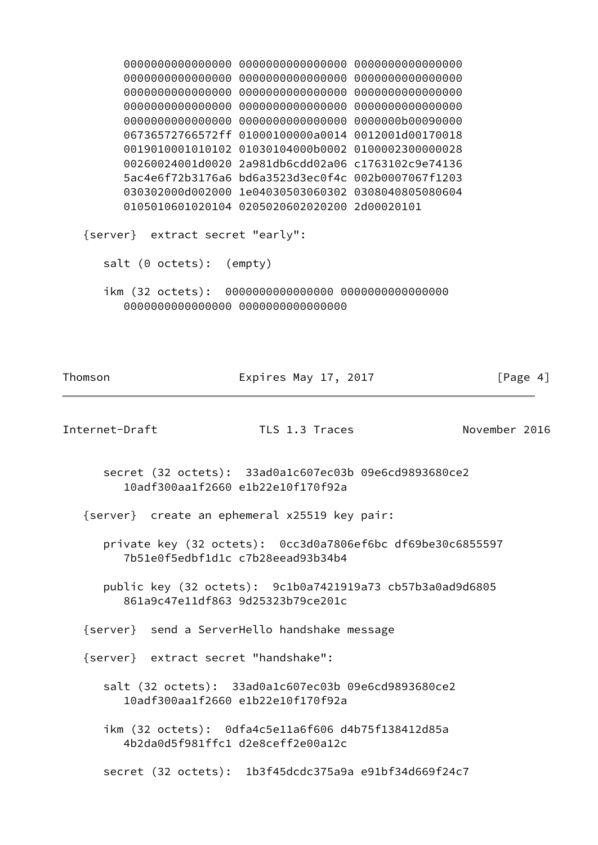0000000000000000 0000000000000000 0000000000000000 0000000000000000 0000000000000000 0000000000000000 0000000000000000 0000000000000000 0000000000000000 0000000000000000 0000000000000000 0000000000000000 0000000000000000 0000000000000000 0000000b00090000 06736572766572ff 01000100000a0014 0012001d00170018 0019010001010102 01030104000b0002 0100002300000028 00260024001d0020 2a981db6cdd02a06 c1763102c9e74136 5ac4e6f72b3176a6 bd6a3523d3ec0f4c 002b0007067f1203 030302000d002000 1e04030503060302 0308040805080604 0105010601020104 0205020602020200 2d00020101 {server} extract secret "early": salt (0 octets): (empty) ikm (32 octets): 0000000000000000 0000000000000000 0000000000000000 0000000000000000 Thomson **Expires May 17, 2017** Expires May 17, 2017 Internet-Draft TLS 1.3 Traces November 2016 secret (32 octets): 33ad0a1c607ec03b 09e6cd9893680ce2 10adf300aa1f2660 e1b22e10f170f92a {server} create an ephemeral x25519 key pair: private key (32 octets): 0cc3d0a7806ef6bc df69be30c6855597 7b51e0f5edbf1d1c c7b28eead93b34b4 public key (32 octets): 9c1b0a7421919a73 cb57b3a0ad9d6805 861a9c47e11df863 9d25323b79ce201c {server} send a ServerHello handshake message {server} extract secret "handshake":

- salt (32 octets): 33ad0a1c607ec03b 09e6cd9893680ce2 10adf300aa1f2660 e1b22e10f170f92a
- ikm (32 octets): 0dfa4c5e11a6f606 d4b75f138412d85a 4b2da0d5f981ffc1 d2e8ceff2e00a12c
- secret (32 octets): 1b3f45dcdc375a9a e91bf34d669f24c7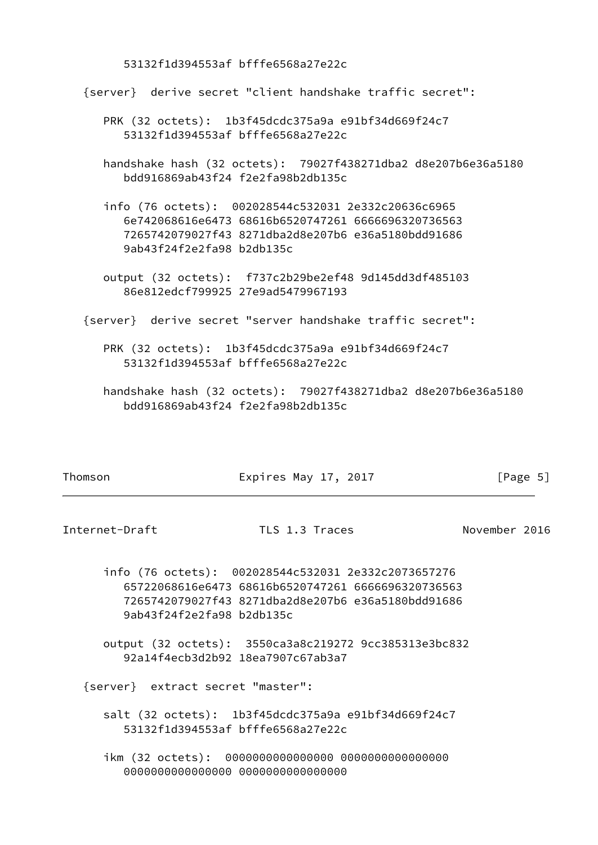53132f1d394553af bfffe6568a27e22c

{server} derive secret "client handshake traffic secret":

- PRK (32 octets): 1b3f45dcdc375a9a e91bf34d669f24c7 53132f1d394553af bfffe6568a27e22c
- handshake hash (32 octets): 79027f438271dba2 d8e207b6e36a5180 bdd916869ab43f24 f2e2fa98b2db135c
- info (76 octets): 002028544c532031 2e332c20636c6965 6e742068616e6473 68616b6520747261 6666696320736563 7265742079027f43 8271dba2d8e207b6 e36a5180bdd91686 9ab43f24f2e2fa98 b2db135c
- output (32 octets): f737c2b29be2ef48 9d145dd3df485103 86e812edcf799925 27e9ad5479967193
- {server} derive secret "server handshake traffic secret":
	- PRK (32 octets): 1b3f45dcdc375a9a e91bf34d669f24c7 53132f1d394553af bfffe6568a27e22c
	- handshake hash (32 octets): 79027f438271dba2 d8e207b6e36a5180 bdd916869ab43f24 f2e2fa98b2db135c

| Thomson |
|---------|
|         |

Expires May 17, 2017  $[Page 5]$ 

Internet-Draft TLS 1.3 Traces November 2016

- info (76 octets): 002028544c532031 2e332c2073657276 65722068616e6473 68616b6520747261 6666696320736563 7265742079027f43 8271dba2d8e207b6 e36a5180bdd91686 9ab43f24f2e2fa98 b2db135c
- output (32 octets): 3550ca3a8c219272 9cc385313e3bc832 92a14f4ecb3d2b92 18ea7907c67ab3a7

{server} extract secret "master":

- salt (32 octets): 1b3f45dcdc375a9a e91bf34d669f24c7 53132f1d394553af bfffe6568a27e22c
- ikm (32 octets): 0000000000000000 0000000000000000 0000000000000000 0000000000000000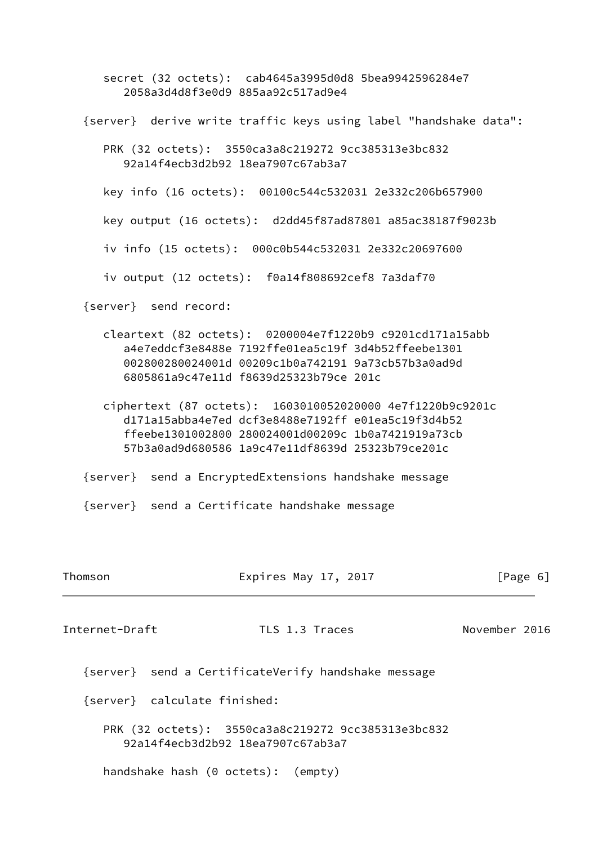```
 secret (32 octets): cab4645a3995d0d8 5bea9942596284e7
      2058a3d4d8f3e0d9 885aa92c517ad9e4
{server} derive write traffic keys using label "handshake data":
  PRK (32 octets): 3550ca3a8c219272 9cc385313e3bc832
      92a14f4ecb3d2b92 18ea7907c67ab3a7
  key info (16 octets): 00100c544c532031 2e332c206b657900
  key output (16 octets): d2dd45f87ad87801 a85ac38187f9023b
  iv info (15 octets): 000c0b544c532031 2e332c20697600
   iv output (12 octets): f0a14f808692cef8 7a3daf70
{server} send record:
  cleartext (82 octets): 0200004e7f1220b9 c9201cd171a15abb
      a4e7eddcf3e8488e 7192ffe01ea5c19f 3d4b52ffeebe1301
      002800280024001d 00209c1b0a742191 9a73cb57b3a0ad9d
      6805861a9c47e11d f8639d25323b79ce 201c
  ciphertext (87 octets): 1603010052020000 4e7f1220b9c9201c
     d171a15abba4e7ed dcf3e8488e7192ff e01ea5c19f3d4b52
      ffeebe1301002800 280024001d00209c 1b0a7421919a73cb
     57b3a0ad9d680586 1a9c47e11df8639d 25323b79ce201c
{server} send a EncryptedExtensions handshake message
{server} send a Certificate handshake message
```

| Thomson        | Expires May 17, 2017                                                                    | [Page 6]      |
|----------------|-----------------------------------------------------------------------------------------|---------------|
| Internet-Draft | TLS 1.3 Traces                                                                          | November 2016 |
|                | {server} send a CertificateVerify handshake message                                     |               |
|                | {server} calculate finished:                                                            |               |
|                | PRK (32 octets): 3550ca3a8c219272 9cc385313e3bc832<br>92a14f4ecb3d2b92 18ea7907c67ab3a7 |               |
|                | handshake hash (0 octets): (empty)                                                      |               |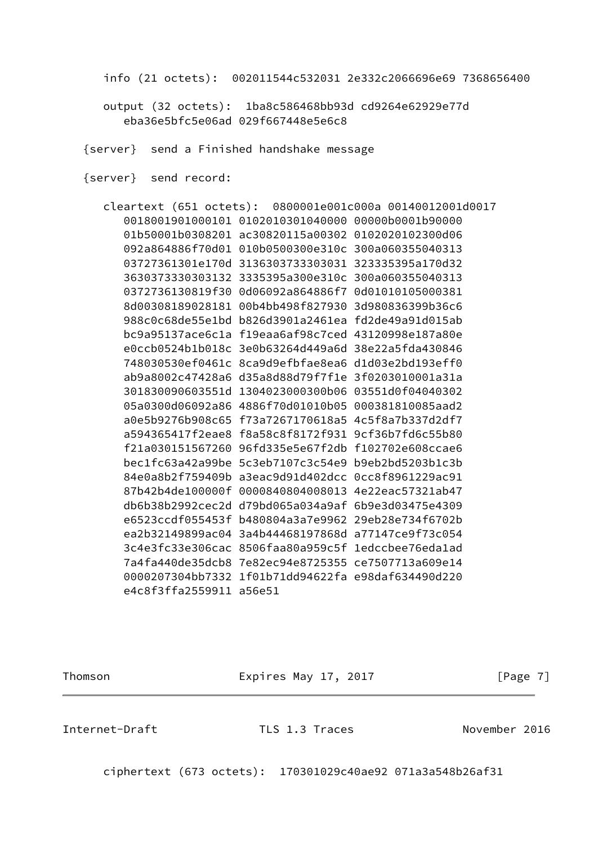info (21 octets): 002011544c532031 2e332c2066696e69 7368656400

 output (32 octets): 1ba8c586468bb93d cd9264e62929e77d eba36e5bfc5e06ad 029f667448e5e6c8

{server} send a Finished handshake message

{server} send record:

|                         |                                                      | cleartext (651 octets): 0800001e001c000a 00140012001d0017 |
|-------------------------|------------------------------------------------------|-----------------------------------------------------------|
|                         | 0018001901000101  0102010301040000  00000b0001b90000 |                                                           |
|                         | 01b50001b0308201 ac30820115a00302 0102020102300d06   |                                                           |
|                         | 092a864886f70d01 010b0500300e310c 300a060355040313   |                                                           |
|                         | 03727361301e170d 3136303733303031 323335395a170d32   |                                                           |
|                         | 3630373330303132 3335395a300e310c 300a060355040313   |                                                           |
|                         | 0372736130819f30 0d06092a864886f7 0d01010105000381   |                                                           |
|                         | 8d00308189028181 00b4bb498f827930 3d980836399b36c6   |                                                           |
|                         | 988c0c68de55e1bd b826d3901a2461ea fd2de49a91d015ab   |                                                           |
|                         | bc9a95137ace6c1a f19eaa6af98c7ced 43120998e187a80e   |                                                           |
|                         | e0ccb0524b1b018c 3e0b63264d449a6d 38e22a5fda430846   |                                                           |
|                         | 748030530ef0461c 8ca9d9efbfae8ea6 d1d03e2bd193eff0   |                                                           |
|                         | ab9a8002c47428a6 d35a8d88d79f7f1e 3f0203010001a31a   |                                                           |
|                         | 301830090603551d 1304023000300b06 03551d0f04040302   |                                                           |
|                         | 05a0300d06092a86 4886f70d01010b05 000381810085aad2   |                                                           |
|                         | a0e5b9276b908c65 f73a7267170618a5 4c5f8a7b337d2df7   |                                                           |
|                         | a594365417f2eae8 f8a58c8f8172f931 9cf36b7fd6c55b80   |                                                           |
|                         | f21a030151567260 96fd335e5e67f2db f102702e608ccae6   |                                                           |
|                         | bec1fc63a42a99be 5c3eb7107c3c54e9 b9eb2bd5203b1c3b   |                                                           |
|                         | 84e0a8b2f759409b a3eac9d91d402dcc                    | 0cc8f8961229ac91                                          |
|                         | 87b42b4de100000f 0000840804008013 4e22eac57321ab47   |                                                           |
|                         | db6b38b2992cec2d d79bd065a034a9af 6b9e3d03475e4309   |                                                           |
|                         | e6523ccdf055453f b480804a3a7e9962 29eb28e734f6702b   |                                                           |
|                         | ea2b32149899ac04 3a4b44468197868d a77147ce9f73c054   |                                                           |
|                         | 3c4e3fc33e306cac 8506faa80a959c5f ledccbee76eda1ad   |                                                           |
|                         | 7a4fa440de35dcb8 7e82ec94e8725355 ce7507713a609e14   |                                                           |
|                         | 0000207304bb7332 1f01b71dd94622fa e98daf634490d220   |                                                           |
| e4c8f3ffa2559911 a56e51 |                                                      |                                                           |

Thomson **Expires May 17, 2017** Expires May 17, 2017

Internet-Draft TLS 1.3 Traces November 2016

ciphertext (673 octets): 170301029c40ae92 071a3a548b26af31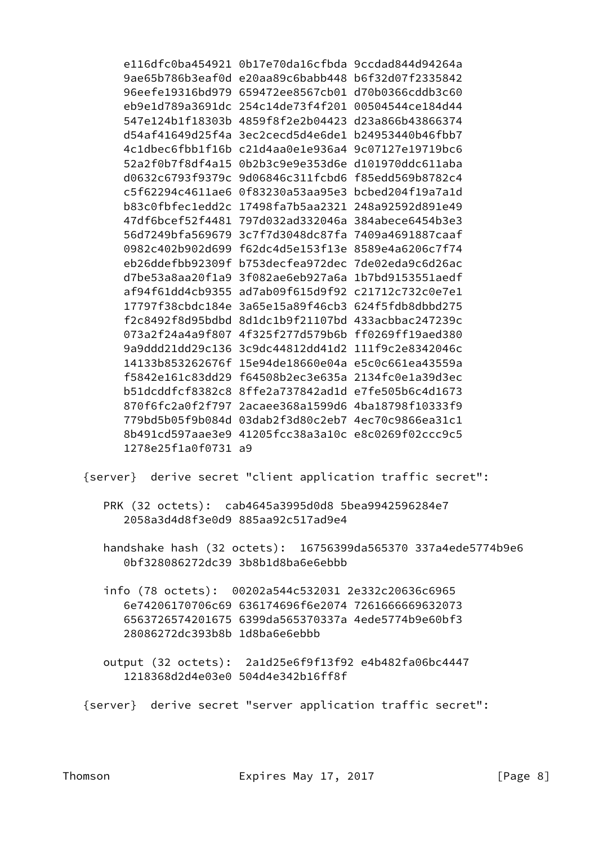e116dfc0ba454921 0b17e70da16cfbda 9ccdad844d94264a 9ae65b786b3eaf0d e20aa89c6babb448 b6f32d07f2335842 96eefe19316bd979 659472ee8567cb01 d70b0366cddb3c60 eb9e1d789a3691dc 254c14de73f4f201 00504544ce184d44 547e124b1f18303b 4859f8f2e2b04423 d23a866b43866374 d54af41649d25f4a 3ec2cecd5d4e6de1 b24953440b46fbb7 4c1dbec6fbb1f16b c21d4aa0e1e936a4 9c07127e19719bc6 52a2f0b7f8df4a15 0b2b3c9e9e353d6e d101970ddc611aba d0632c6793f9379c 9d06846c311fcbd6 f85edd569b8782c4 c5f62294c4611ae6 0f83230a53aa95e3 bcbed204f19a7a1d b83c0fbfec1edd2c 17498fa7b5aa2321 248a92592d891e49 47df6bcef52f4481 797d032ad332046a 384abece6454b3e3 56d7249bfa569679 3c7f7d3048dc87fa 7409a4691887caaf 0982c402b902d699 f62dc4d5e153f13e 8589e4a6206c7f74 eb26ddefbb92309f b753decfea972dec 7de02eda9c6d26ac d7be53a8aa20f1a9 3f082ae6eb927a6a 1b7bd9153551aedf af94f61dd4cb9355 ad7ab09f615d9f92 c21712c732c0e7e1 17797f38cbdc184e 3a65e15a89f46cb3 624f5fdb8dbbd275 f2c8492f8d95bdbd 8d1dc1b9f21107bd 433acbbac247239c 073a2f24a4a9f807 4f325f277d579b6b ff0269ff19aed380 9a9ddd21dd29c136 3c9dc44812dd41d2 111f9c2e8342046c 14133b853262676f 15e94de18660e04a e5c0c661ea43559a f5842e161c83dd29 f64508b2ec3e635a 2134fc0e1a39d3ec b51dcddfcf8382c8 8ffe2a737842ad1d e7fe505b6c4d1673 870f6fc2a0f2f797 2acaee368a1599d6 4ba18798f10333f9 779bd5b05f9b084d 03dab2f3d80c2eb7 4ec70c9866ea31c1 8b491cd597aae3e9 41205fcc38a3a10c e8c0269f02ccc9c5 1278e25f1a0f0731 a9

{server} derive secret "client application traffic secret":

- PRK (32 octets): cab4645a3995d0d8 5bea9942596284e7 2058a3d4d8f3e0d9 885aa92c517ad9e4
- handshake hash (32 octets): 16756399da565370 337a4ede5774b9e6 0bf328086272dc39 3b8b1d8ba6e6ebbb
- info (78 octets): 00202a544c532031 2e332c20636c6965 6e74206170706c69 636174696f6e2074 7261666669632073 6563726574201675 6399da565370337a 4ede5774b9e60bf3 28086272dc393b8b 1d8ba6e6ebbb
- output (32 octets): 2a1d25e6f9f13f92 e4b482fa06bc4447 1218368d2d4e03e0 504d4e342b16ff8f
- {server} derive secret "server application traffic secret":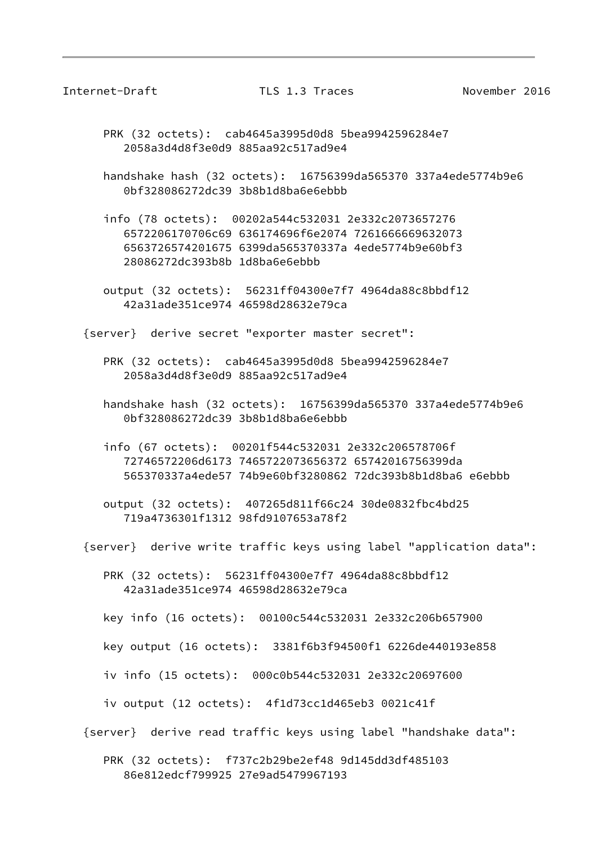Internet-Draft TLS 1.3 Traces November 2016

 PRK (32 octets): cab4645a3995d0d8 5bea9942596284e7 2058a3d4d8f3e0d9 885aa92c517ad9e4

 handshake hash (32 octets): 16756399da565370 337a4ede5774b9e6 0bf328086272dc39 3b8b1d8ba6e6ebbb

 info (78 octets): 00202a544c532031 2e332c2073657276 6572206170706c69 636174696f6e2074 7261666669632073 6563726574201675 6399da565370337a 4ede5774b9e60bf3 28086272dc393b8b 1d8ba6e6ebbb

 output (32 octets): 56231ff04300e7f7 4964da88c8bbdf12 42a31ade351ce974 46598d28632e79ca

{server} derive secret "exporter master secret":

- PRK (32 octets): cab4645a3995d0d8 5bea9942596284e7 2058a3d4d8f3e0d9 885aa92c517ad9e4
- handshake hash (32 octets): 16756399da565370 337a4ede5774b9e6 0bf328086272dc39 3b8b1d8ba6e6ebbb
- info (67 octets): 00201f544c532031 2e332c206578706f 72746572206d6173 7465722073656372 65742016756399da 565370337a4ede57 74b9e60bf3280862 72dc393b8b1d8ba6 e6ebbb
- output (32 octets): 407265d811f66c24 30de0832fbc4bd25 719a4736301f1312 98fd9107653a78f2

{server} derive write traffic keys using label "application data":

 PRK (32 octets): 56231ff04300e7f7 4964da88c8bbdf12 42a31ade351ce974 46598d28632e79ca

key info (16 octets): 00100c544c532031 2e332c206b657900

key output (16 octets): 3381f6b3f94500f1 6226de440193e858

iv info (15 octets): 000c0b544c532031 2e332c20697600

iv output (12 octets): 4f1d73cc1d465eb3 0021c41f

{server} derive read traffic keys using label "handshake data":

 PRK (32 octets): f737c2b29be2ef48 9d145dd3df485103 86e812edcf799925 27e9ad5479967193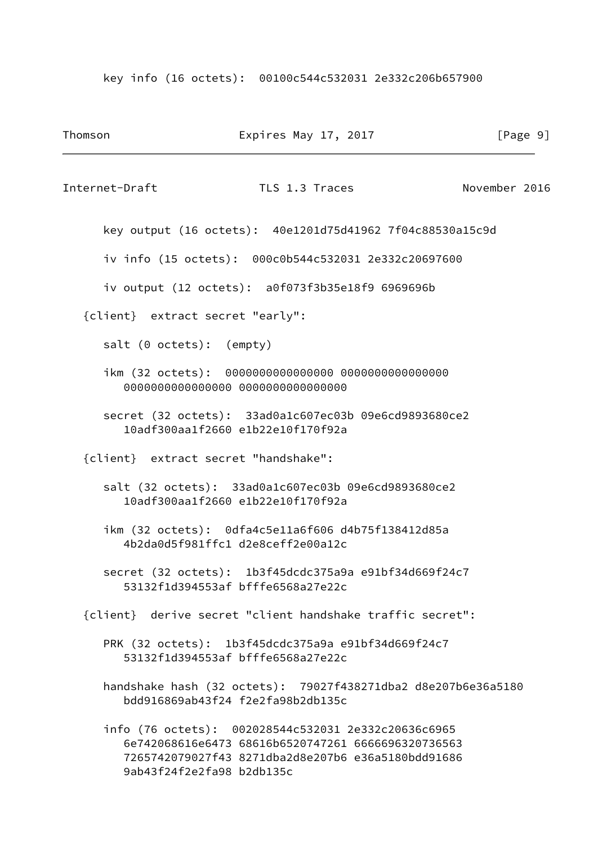key info (16 octets): 00100c544c532031 2e332c206b657900

| Thomson                  | Expires May 17, 2017                                                                                                                                                                         | [Page 9]      |
|--------------------------|----------------------------------------------------------------------------------------------------------------------------------------------------------------------------------------------|---------------|
| Internet-Draft           | TLS 1.3 Traces                                                                                                                                                                               | November 2016 |
|                          | key output (16 octets): 40e1201d75d41962 7f04c88530a15c9d                                                                                                                                    |               |
|                          | iv info (15 octets): 000c0b544c532031 2e332c20697600                                                                                                                                         |               |
|                          | iv output (12 octets): a0f073f3b35e18f9 6969696b                                                                                                                                             |               |
|                          | {client} extract secret "early":                                                                                                                                                             |               |
| salt (0 octets): (empty) |                                                                                                                                                                                              |               |
|                          | ikm (32 octets): 0000000000000000 0000000000000000<br>0000000000000000 00000000000000000                                                                                                     |               |
|                          | secret (32 octets): 33ad0a1c607ec03b 09e6cd9893680ce2<br>10adf300aa1f2660 e1b22e10f170f92a                                                                                                   |               |
|                          | {client} extract secret "handshake":                                                                                                                                                         |               |
|                          | salt (32 octets): 33ad0a1c607ec03b 09e6cd9893680ce2<br>10adf300aa1f2660 e1b22e10f170f92a                                                                                                     |               |
|                          | ikm (32 octets): 0dfa4c5e11a6f606 d4b75f138412d85a<br>4b2da0d5f981ffc1 d2e8ceff2e00a12c                                                                                                      |               |
|                          | secret (32 octets): 1b3f45dcdc375a9a e91bf34d669f24c7<br>53132f1d394553af bfffe6568a27e22c                                                                                                   |               |
|                          | {client} derive secret "client handshake traffic secret":                                                                                                                                    |               |
|                          | PRK (32 octets): 1b3f45dcdc375a9a e91bf34d669f24c7<br>53132f1d394553af bfffe6568a27e22c                                                                                                      |               |
|                          | handshake hash (32 octets): 79027f438271dba2 d8e207b6e36a5180<br>bdd916869ab43f24 f2e2fa98b2db135c                                                                                           |               |
|                          | info (76 octets): 002028544c532031 2e332c20636c6965<br>6e742068616e6473 68616b6520747261 6666696320736563<br>7265742079027f43 8271dba2d8e207b6 e36a5180bdd91686<br>9ab43f24f2e2fa98 b2db135c |               |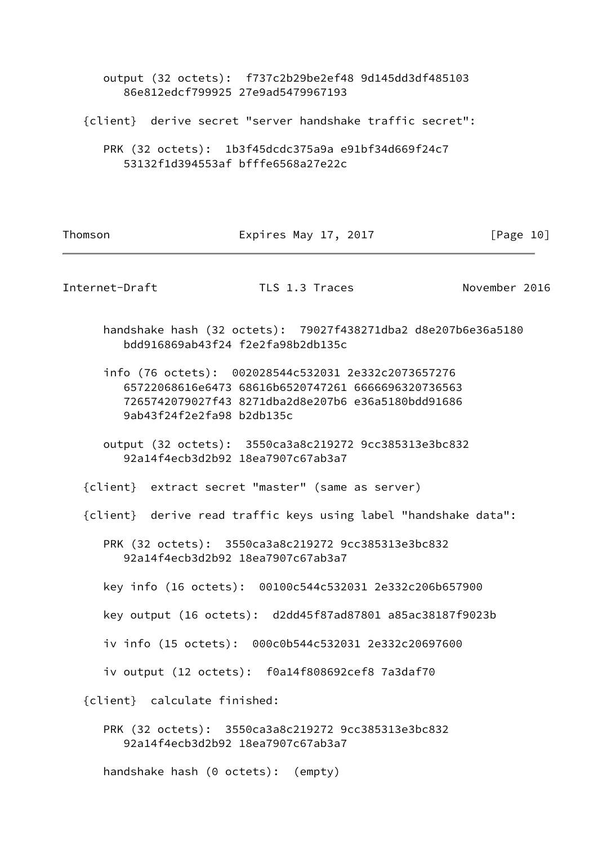output (32 octets): f737c2b29be2ef48 9d145dd3df485103 86e812edcf799925 27e9ad5479967193

{client} derive secret "server handshake traffic secret":

 PRK (32 octets): 1b3f45dcdc375a9a e91bf34d669f24c7 53132f1d394553af bfffe6568a27e22c

Thomson **Expires May 17, 2017** [Page 10]

Internet-Draft TLS 1.3 Traces November 2016

 handshake hash (32 octets): 79027f438271dba2 d8e207b6e36a5180 bdd916869ab43f24 f2e2fa98b2db135c

 info (76 octets): 002028544c532031 2e332c2073657276 65722068616e6473 68616b6520747261 6666696320736563 7265742079027f43 8271dba2d8e207b6 e36a5180bdd91686 9ab43f24f2e2fa98 b2db135c

 output (32 octets): 3550ca3a8c219272 9cc385313e3bc832 92a14f4ecb3d2b92 18ea7907c67ab3a7

{client} extract secret "master" (same as server)

{client} derive read traffic keys using label "handshake data":

 PRK (32 octets): 3550ca3a8c219272 9cc385313e3bc832 92a14f4ecb3d2b92 18ea7907c67ab3a7

key info (16 octets): 00100c544c532031 2e332c206b657900

key output (16 octets): d2dd45f87ad87801 a85ac38187f9023b

iv info (15 octets): 000c0b544c532031 2e332c20697600

iv output (12 octets): f0a14f808692cef8 7a3daf70

{client} calculate finished:

 PRK (32 octets): 3550ca3a8c219272 9cc385313e3bc832 92a14f4ecb3d2b92 18ea7907c67ab3a7

handshake hash (0 octets): (empty)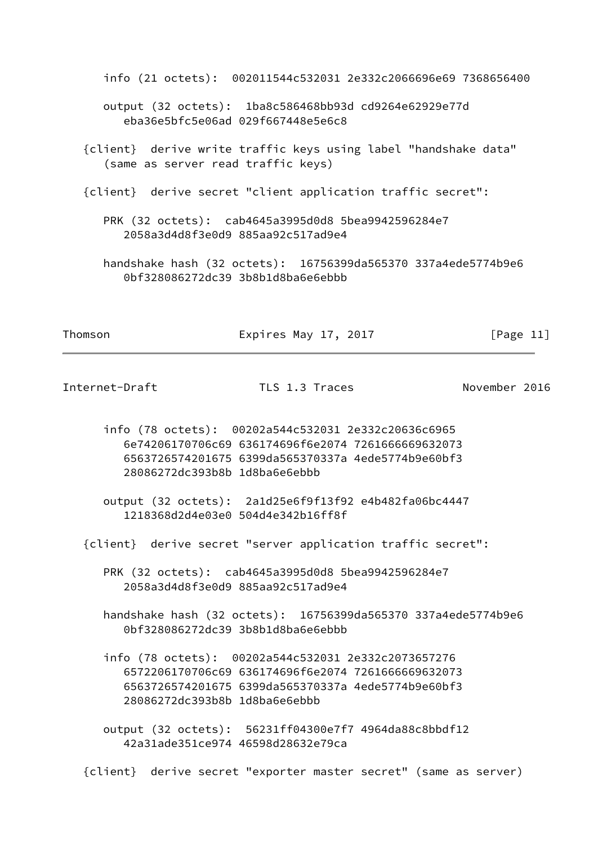info (21 octets): 002011544c532031 2e332c2066696e69 7368656400 output (32 octets): 1ba8c586468bb93d cd9264e62929e77d eba36e5bfc5e06ad 029f667448e5e6c8 {client} derive write traffic keys using label "handshake data" (same as server read traffic keys) {client} derive secret "client application traffic secret": PRK (32 octets): cab4645a3995d0d8 5bea9942596284e7 2058a3d4d8f3e0d9 885aa92c517ad9e4 handshake hash (32 octets): 16756399da565370 337a4ede5774b9e6 0bf328086272dc39 3b8b1d8ba6e6ebbb

Thomson **Expires May 17, 2017** [Page 11]

Internet-Draft TLS 1.3 Traces November 2016

- info (78 octets): 00202a544c532031 2e332c20636c6965 6e74206170706c69 636174696f6e2074 7261666669632073 6563726574201675 6399da565370337a 4ede5774b9e60bf3 28086272dc393b8b 1d8ba6e6ebbb
- output (32 octets): 2a1d25e6f9f13f92 e4b482fa06bc4447 1218368d2d4e03e0 504d4e342b16ff8f
- {client} derive secret "server application traffic secret":
	- PRK (32 octets): cab4645a3995d0d8 5bea9942596284e7 2058a3d4d8f3e0d9 885aa92c517ad9e4
	- handshake hash (32 octets): 16756399da565370 337a4ede5774b9e6 0bf328086272dc39 3b8b1d8ba6e6ebbb
	- info (78 octets): 00202a544c532031 2e332c2073657276 6572206170706c69 636174696f6e2074 7261666669632073 6563726574201675 6399da565370337a 4ede5774b9e60bf3 28086272dc393b8b 1d8ba6e6ebbb
	- output (32 octets): 56231ff04300e7f7 4964da88c8bbdf12 42a31ade351ce974 46598d28632e79ca

{client} derive secret "exporter master secret" (same as server)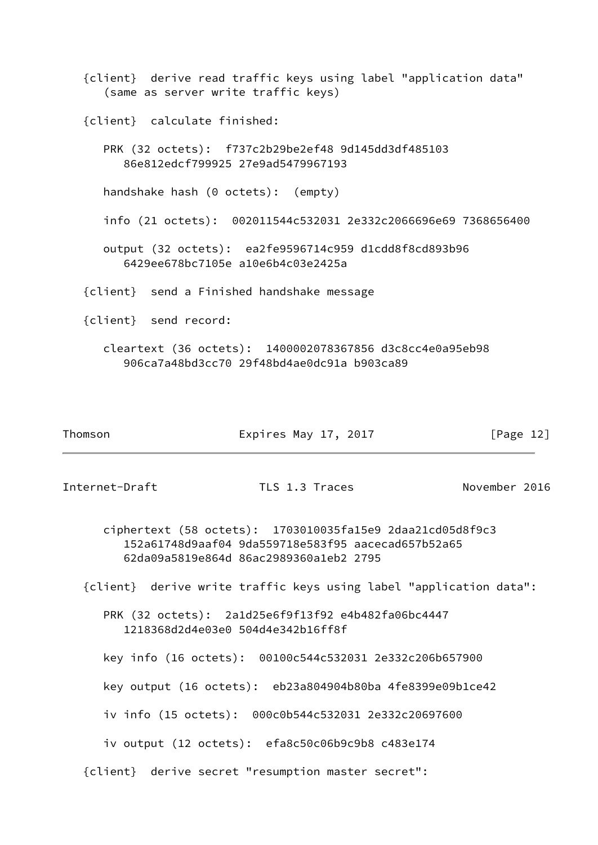{client} derive read traffic keys using label "application data" (same as server write traffic keys) {client} calculate finished: PRK (32 octets): f737c2b29be2ef48 9d145dd3df485103 86e812edcf799925 27e9ad5479967193 handshake hash (0 octets): (empty) info (21 octets): 002011544c532031 2e332c2066696e69 7368656400 output (32 octets): ea2fe9596714c959 d1cdd8f8cd893b96 6429ee678bc7105e a10e6b4c03e2425a {client} send a Finished handshake message {client} send record: cleartext (36 octets): 1400002078367856 d3c8cc4e0a95eb98 906ca7a48bd3cc70 29f48bd4ae0dc91a b903ca89

| Thomson | Expires May 17, 2017 | [Page 12] |
|---------|----------------------|-----------|
|---------|----------------------|-----------|

Internet-Draft TLS 1.3 Traces November 2016

 ciphertext (58 octets): 1703010035fa15e9 2daa21cd05d8f9c3 152a61748d9aaf04 9da559718e583f95 aacecad657b52a65 62da09a5819e864d 86ac2989360a1eb2 2795

{client} derive write traffic keys using label "application data":

 PRK (32 octets): 2a1d25e6f9f13f92 e4b482fa06bc4447 1218368d2d4e03e0 504d4e342b16ff8f

key info (16 octets): 00100c544c532031 2e332c206b657900

key output (16 octets): eb23a804904b80ba 4fe8399e09b1ce42

iv info (15 octets): 000c0b544c532031 2e332c20697600

iv output (12 octets): efa8c50c06b9c9b8 c483e174

{client} derive secret "resumption master secret":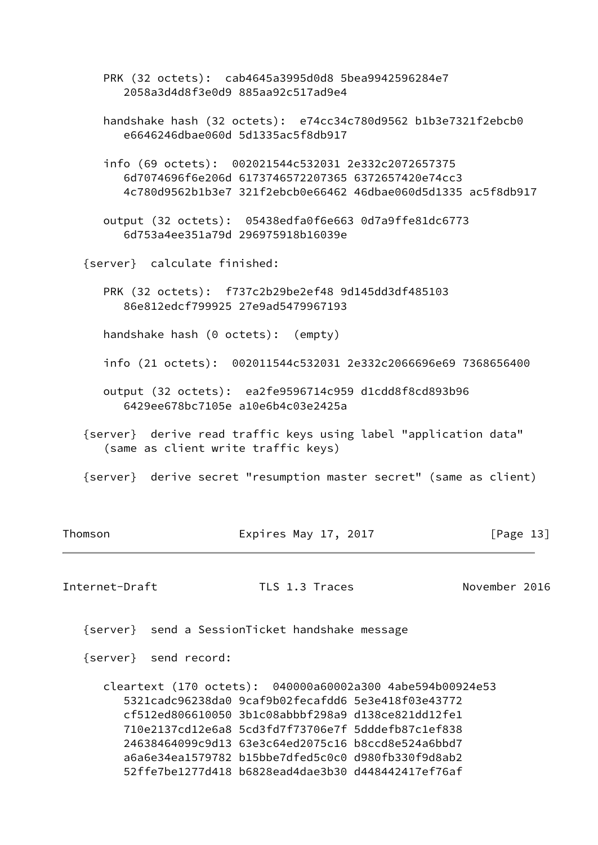PRK (32 octets): cab4645a3995d0d8 5bea9942596284e7 2058a3d4d8f3e0d9 885aa92c517ad9e4

 handshake hash (32 octets): e74cc34c780d9562 b1b3e7321f2ebcb0 e6646246dbae060d 5d1335ac5f8db917

 info (69 octets): 002021544c532031 2e332c2072657375 6d7074696f6e206d 6173746572207365 6372657420e74cc3 4c780d9562b1b3e7 321f2ebcb0e66462 46dbae060d5d1335 ac5f8db917

 output (32 octets): 05438edfa0f6e663 0d7a9ffe81dc6773 6d753a4ee351a79d 296975918b16039e

{server} calculate finished:

 PRK (32 octets): f737c2b29be2ef48 9d145dd3df485103 86e812edcf799925 27e9ad5479967193

handshake hash (0 octets): (empty)

- info (21 octets): 002011544c532031 2e332c2066696e69 7368656400
- output (32 octets): ea2fe9596714c959 d1cdd8f8cd893b96 6429ee678bc7105e a10e6b4c03e2425a
- {server} derive read traffic keys using label "application data" (same as client write traffic keys)
- {server} derive secret "resumption master secret" (same as client)

| Thomson |
|---------|
|         |
|         |

Expires May 17, 2017  $\lceil \text{Page 13} \rceil$ 

Internet-Draft TLS 1.3 Traces November 2016

{server} send a SessionTicket handshake message

{server} send record:

 cleartext (170 octets): 040000a60002a300 4abe594b00924e53 5321cadc96238da0 9caf9b02fecafdd6 5e3e418f03e43772 cf512ed806610050 3b1c08abbbf298a9 d138ce821dd12fe1 710e2137cd12e6a8 5cd3fd7f73706e7f 5dddefb87c1ef838 24638464099c9d13 63e3c64ed2075c16 b8ccd8e524a6bbd7 a6a6e34ea1579782 b15bbe7dfed5c0c0 d980fb330f9d8ab2 52ffe7be1277d418 b6828ead4dae3b30 d448442417ef76af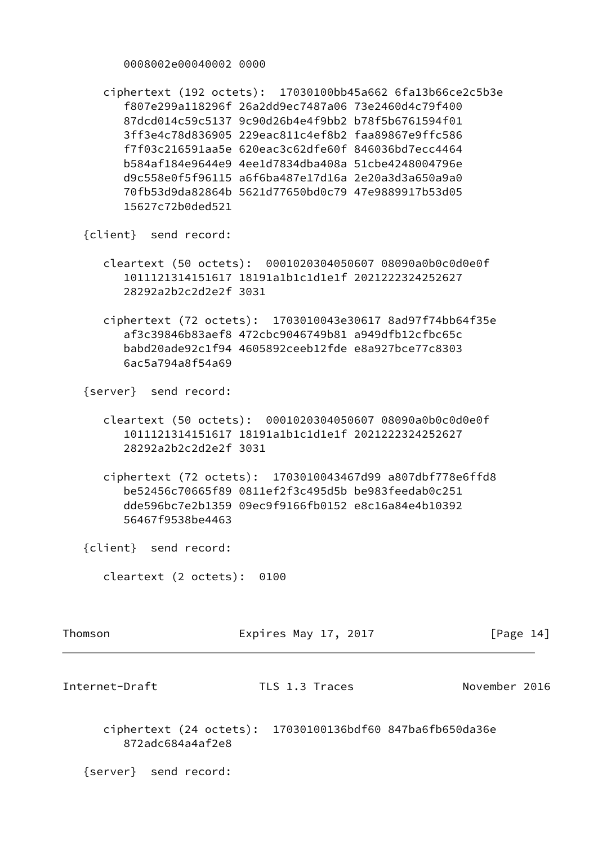0008002e00040002 0000

 ciphertext (192 octets): 17030100bb45a662 6fa13b66ce2c5b3e f807e299a118296f 26a2dd9ec7487a06 73e2460d4c79f400 87dcd014c59c5137 9c90d26b4e4f9bb2 b78f5b6761594f01 3ff3e4c78d836905 229eac811c4ef8b2 faa89867e9ffc586 f7f03c216591aa5e 620eac3c62dfe60f 846036bd7ecc4464 b584af184e9644e9 4ee1d7834dba408a 51cbe4248004796e d9c558e0f5f96115 a6f6ba487e17d16a 2e20a3d3a650a9a0 70fb53d9da82864b 5621d77650bd0c79 47e9889917b53d05 15627c72b0ded521

{client} send record:

- cleartext (50 octets): 0001020304050607 08090a0b0c0d0e0f 1011121314151617 18191a1b1c1d1e1f 2021222324252627 28292a2b2c2d2e2f 3031
- ciphertext (72 octets): 1703010043e30617 8ad97f74bb64f35e af3c39846b83aef8 472cbc9046749b81 a949dfb12cfbc65c babd20ade92c1f94 4605892ceeb12fde e8a927bce77c8303 6ac5a794a8f54a69

{server} send record:

- cleartext (50 octets): 0001020304050607 08090a0b0c0d0e0f 1011121314151617 18191a1b1c1d1e1f 2021222324252627 28292a2b2c2d2e2f 3031
- ciphertext (72 octets): 1703010043467d99 a807dbf778e6ffd8 be52456c70665f89 0811ef2f3c495d5b be983feedab0c251 dde596bc7e2b1359 09ec9f9166fb0152 e8c16a84e4b10392 56467f9538be4463

{client} send record:

cleartext (2 octets): 0100

<span id="page-15-0"></span>

| Thomson          | Expires May 17, 2017                                      | [Page 14]     |
|------------------|-----------------------------------------------------------|---------------|
| Internet-Draft   | TLS 1.3 Traces                                            | November 2016 |
| 872adc684a4af2e8 | ciphertext (24 octets): 17030100136bdf60 847ba6fb650da36e |               |

{server} send record: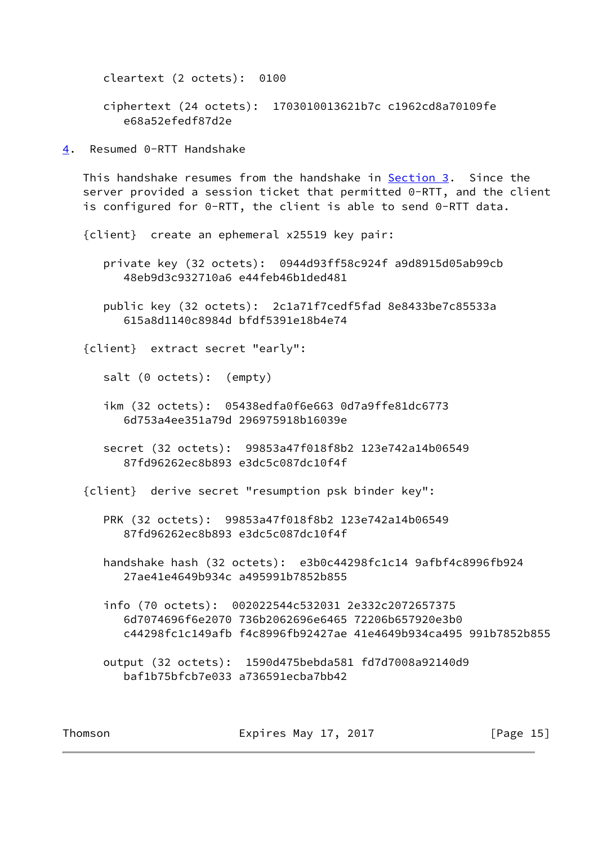cleartext (2 octets): 0100

 ciphertext (24 octets): 1703010013621b7c c1962cd8a70109fe e68a52efedf87d2e

<span id="page-16-0"></span>[4](#page-16-0). Resumed 0-RTT Handshake

This handshake resumes from the handshake in [Section 3](#page-2-0). Since the server provided a session ticket that permitted 0-RTT, and the client is configured for 0-RTT, the client is able to send 0-RTT data.

{client} create an ephemeral x25519 key pair:

 private key (32 octets): 0944d93ff58c924f a9d8915d05ab99cb 48eb9d3c932710a6 e44feb46b1ded481

 public key (32 octets): 2c1a71f7cedf5fad 8e8433be7c85533a 615a8d1140c8984d bfdf5391e18b4e74

{client} extract secret "early":

salt (0 octets): (empty)

- ikm (32 octets): 05438edfa0f6e663 0d7a9ffe81dc6773 6d753a4ee351a79d 296975918b16039e
- secret (32 octets): 99853a47f018f8b2 123e742a14b06549 87fd96262ec8b893 e3dc5c087dc10f4f

{client} derive secret "resumption psk binder key":

- PRK (32 octets): 99853a47f018f8b2 123e742a14b06549 87fd96262ec8b893 e3dc5c087dc10f4f
- handshake hash (32 octets): e3b0c44298fc1c14 9afbf4c8996fb924 27ae41e4649b934c a495991b7852b855
- info (70 octets): 002022544c532031 2e332c2072657375 6d7074696f6e2070 736b2062696e6465 72206b657920e3b0 c44298fc1c149afb f4c8996fb92427ae 41e4649b934ca495 991b7852b855

 output (32 octets): 1590d475bebda581 fd7d7008a92140d9 baf1b75bfcb7e033 a736591ecba7bb42

Thomson **Expires May 17, 2017** [Page 15]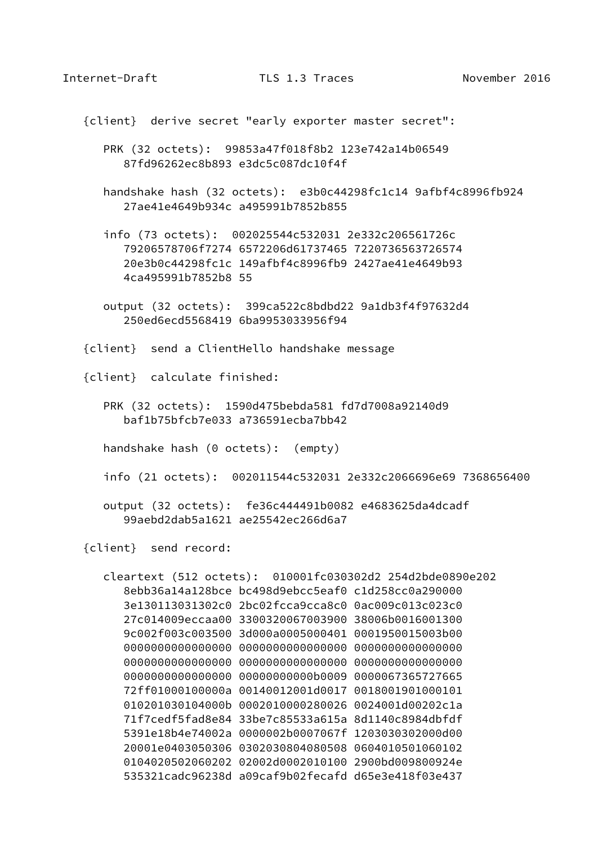{client} derive secret "early exporter master secret":

 PRK (32 octets): 99853a47f018f8b2 123e742a14b06549 87fd96262ec8b893 e3dc5c087dc10f4f

 handshake hash (32 octets): e3b0c44298fc1c14 9afbf4c8996fb924 27ae41e4649b934c a495991b7852b855

 info (73 octets): 002025544c532031 2e332c206561726c 79206578706f7274 6572206d61737465 7220736563726574 20e3b0c44298fc1c 149afbf4c8996fb9 2427ae41e4649b93 4ca495991b7852b8 55

 output (32 octets): 399ca522c8bdbd22 9a1db3f4f97632d4 250ed6ecd5568419 6ba9953033956f94

{client} send a ClientHello handshake message

{client} calculate finished:

 PRK (32 octets): 1590d475bebda581 fd7d7008a92140d9 baf1b75bfcb7e033 a736591ecba7bb42

handshake hash (0 octets): (empty)

info (21 octets): 002011544c532031 2e332c2066696e69 7368656400

 output (32 octets): fe36c444491b0082 e4683625da4dcadf 99aebd2dab5a1621 ae25542ec266d6a7

{client} send record:

 cleartext (512 octets): 010001fc030302d2 254d2bde0890e202 8ebb36a14a128bce bc498d9ebcc5eaf0 c1d258cc0a290000 3e130113031302c0 2bc02fcca9cca8c0 0ac009c013c023c0 27c014009eccaa00 3300320067003900 38006b0016001300 9c002f003c003500 3d000a0005000401 0001950015003b00 0000000000000000 0000000000000000 0000000000000000 0000000000000000 0000000000000000 0000000000000000 0000000000000000 00000000000b0009 0000067365727665 72ff01000100000a 00140012001d0017 0018001901000101 010201030104000b 0002010000280026 0024001d00202c1a 71f7cedf5fad8e84 33be7c85533a615a 8d1140c8984dbfdf 5391e18b4e74002a 0000002b0007067f 1203030302000d00 20001e0403050306 0302030804080508 0604010501060102 0104020502060202 02002d0002010100 2900bd009800924e 535321cadc96238d a09caf9b02fecafd d65e3e418f03e437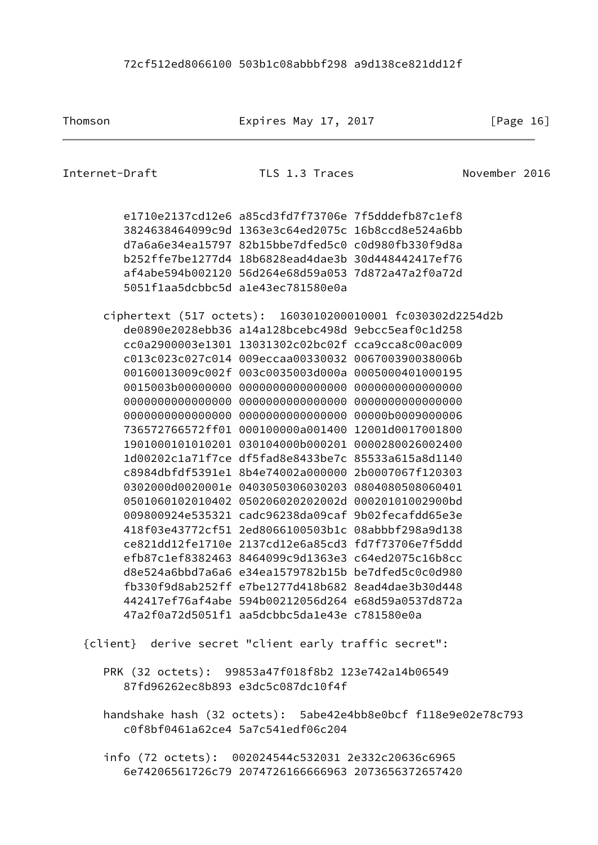Thomson **Expires May 17, 2017** [Page 16]

| Internet-Draft |                                                            | TLS 1.3 Traces                                       | November 2016 |  |
|----------------|------------------------------------------------------------|------------------------------------------------------|---------------|--|
|                |                                                            |                                                      |               |  |
|                |                                                            | e1710e2137cd12e6 a85cd3fd7f73706e 7f5dddefb87c1ef8   |               |  |
|                |                                                            | 3824638464099c9d 1363e3c64ed2075c 16b8ccd8e524a6bb   |               |  |
|                |                                                            | d7a6a6e34ea15797 82b15bbe7dfed5c0 c0d980fb330f9d8a   |               |  |
|                |                                                            | b252ffe7be1277d4 18b6828ead4dae3b 30d448442417ef76   |               |  |
|                |                                                            | af4abe594b002120 56d264e68d59a053 7d872a47a2f0a72d   |               |  |
|                |                                                            | 5051f1aa5dcbbc5d a1e43ec781580e0a                    |               |  |
|                | ciphertext (517 octets): 1603010200010001 fc030302d2254d2b |                                                      |               |  |
|                |                                                            | de0890e2028ebb36 a14a128bcebc498d 9ebcc5eaf0c1d258   |               |  |
|                |                                                            | cc0a2900003e1301 13031302c02bc02f cca9cca8c00ac009   |               |  |
|                |                                                            | c013c023c027c014 009eccaa00330032 006700390038006b   |               |  |
|                |                                                            | 00160013009c002f 003c0035003d000a 0005000401000195   |               |  |
|                |                                                            |                                                      |               |  |
|                |                                                            |                                                      |               |  |
|                |                                                            |                                                      |               |  |
|                |                                                            | 736572766572ff01 000100000a001400 12001d0017001800   |               |  |
|                |                                                            | 1901000101010201  030104000b000201  0000280026002400 |               |  |
|                |                                                            | 1d00202c1a71f7ce df5fad8e8433be7c 85533a615a8d1140   |               |  |
|                |                                                            | c8984dbfdf5391e1 8b4e74002a000000 2b0007067f120303   |               |  |
|                |                                                            | 0302000d0020001e 0403050306030203 0804080508060401   |               |  |
|                |                                                            |                                                      |               |  |
|                |                                                            | 009800924e535321 cadc96238da09caf 9b02fecafdd65e3e   |               |  |
|                |                                                            | 418f03e43772cf51 2ed8066100503b1c 08abbbf298a9d138   |               |  |
|                |                                                            | ce821dd12fe1710e 2137cd12e6a85cd3 fd7f73706e7f5ddd   |               |  |
|                |                                                            | efb87c1ef8382463 8464099c9d1363e3 c64ed2075c16b8cc   |               |  |
|                |                                                            | d8e524a6bbd7a6a6 e34ea1579782b15b be7dfed5c0c0d980   |               |  |
|                |                                                            | fb330f9d8ab252ff e7be1277d418b682 8ead4dae3b30d448   |               |  |
|                |                                                            | 442417ef76af4abe 594b00212056d264 e68d59a0537d872a   |               |  |
|                |                                                            | 47a2f0a72d5051f1 aa5dcbbc5da1e43e c781580e0a         |               |  |
|                |                                                            |                                                      |               |  |

{client} derive secret "client early traffic secret":

 PRK (32 octets): 99853a47f018f8b2 123e742a14b06549 87fd96262ec8b893 e3dc5c087dc10f4f

 handshake hash (32 octets): 5abe42e4bb8e0bcf f118e9e02e78c793 c0f8bf0461a62ce4 5a7c541edf06c204

 info (72 octets): 002024544c532031 2e332c20636c6965 6e74206561726c79 2074726166666963 2073656372657420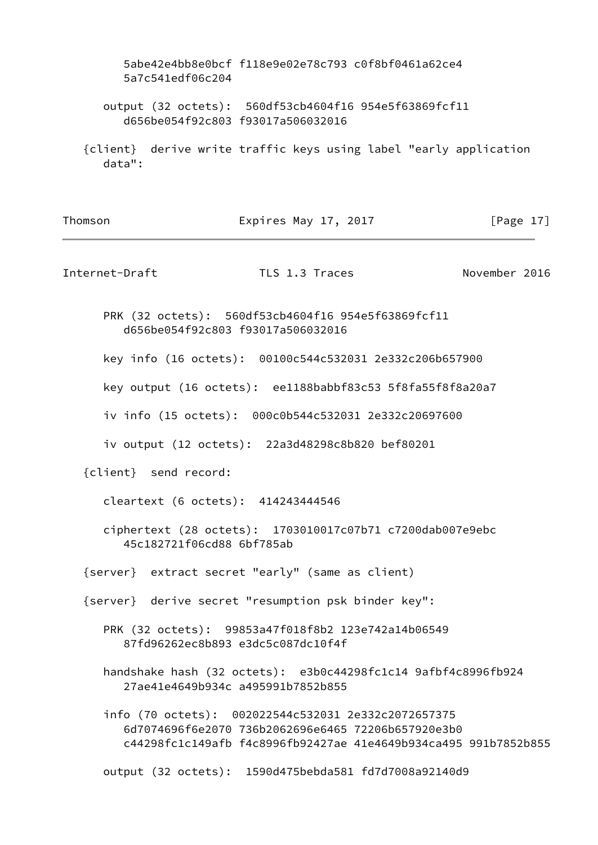|                | 5a7c541edf06c204                   | 5abe42e4bb8e0bcf f118e9e02e78c793 c0f8bf0461a62ce4                                                        |                                                                   |  |
|----------------|------------------------------------|-----------------------------------------------------------------------------------------------------------|-------------------------------------------------------------------|--|
|                | d656be054f92c803 f93017a506032016  | output (32 octets): 560df53cb4604f16 954e5f63869fcf11                                                     |                                                                   |  |
| data":         |                                    |                                                                                                           | {client} derive write traffic keys using label "early application |  |
| Thomson        |                                    | Expires May 17, 2017                                                                                      | [Page $17$ ]                                                      |  |
| Internet-Draft |                                    | TLS 1.3 Traces                                                                                            | November 2016                                                     |  |
|                | d656be054f92c803 f93017a506032016  | PRK (32 octets): 560df53cb4604f16 954e5f63869fcf11                                                        |                                                                   |  |
|                |                                    | key info (16 octets): 00100c544c532031 2e332c206b657900                                                   |                                                                   |  |
|                |                                    | key output (16 octets): ee1188babbf83c53 5f8fa55f8f8a20a7                                                 |                                                                   |  |
|                |                                    | iv info (15 octets): 000c0b544c532031 2e332c20697600                                                      |                                                                   |  |
|                |                                    | iv output (12 octets): 22a3d48298c8b820 bef80201                                                          |                                                                   |  |
|                | {client} send record:              |                                                                                                           |                                                                   |  |
|                | cleartext (6 octets): 414243444546 |                                                                                                           |                                                                   |  |
|                | 45c182721f06cd88 6bf785ab          | ciphertext (28 octets): 1703010017c07b71 c7200dab007e9ebc                                                 |                                                                   |  |
|                |                                    | {server} extract secret "early" (same as client)                                                          |                                                                   |  |
|                |                                    | {server} derive secret "resumption psk binder key":                                                       |                                                                   |  |
|                | 87fd96262ec8b893 e3dc5c087dc10f4f  | PRK (32 octets): 99853a47f018f8b2 123e742a14b06549                                                        |                                                                   |  |
|                | 27ae41e4649b934c a495991b7852b855  |                                                                                                           | handshake hash (32 octets): e3b0c44298fc1c14 9afbf4c8996fb924     |  |
|                |                                    | info (70 octets): 002022544c532031 2e332c2072657375<br>6d7074696f6e2070 736b2062696e6465 72206b657920e3b0 | c44298fc1c149afb f4c8996fb92427ae 41e4649b934ca495 991b7852b855   |  |
|                |                                    | output (32 octets): 1590d475bebda581 fd7d7008a92140d9                                                     |                                                                   |  |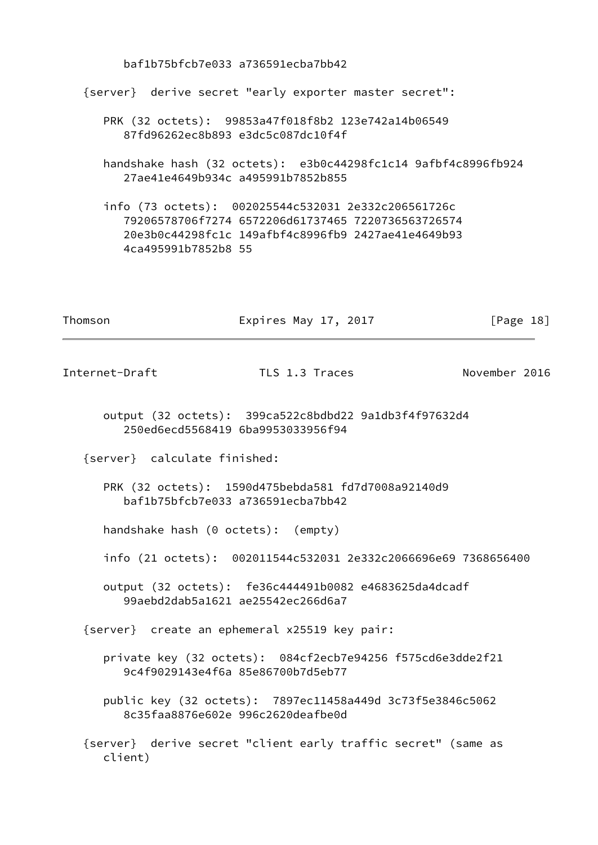baf1b75bfcb7e033 a736591ecba7bb42 {server} derive secret "early exporter master secret": PRK (32 octets): 99853a47f018f8b2 123e742a14b06549 87fd96262ec8b893 e3dc5c087dc10f4f handshake hash (32 octets): e3b0c44298fc1c14 9afbf4c8996fb924 27ae41e4649b934c a495991b7852b855 info (73 octets): 002025544c532031 2e332c206561726c 79206578706f7274 6572206d61737465 7220736563726574 20e3b0c44298fc1c 149afbf4c8996fb9 2427ae41e4649b93 4ca495991b7852b8 55 Thomson **Expires May 17, 2017 Expires May 17, 2017 Page 18** Internet-Draft TLS 1.3 Traces November 2016 output (32 octets): 399ca522c8bdbd22 9a1db3f4f97632d4 250ed6ecd5568419 6ba9953033956f94 {server} calculate finished: PRK (32 octets): 1590d475bebda581 fd7d7008a92140d9 baf1b75bfcb7e033 a736591ecba7bb42 handshake hash (0 octets): (empty) info (21 octets): 002011544c532031 2e332c2066696e69 7368656400 output (32 octets): fe36c444491b0082 e4683625da4dcadf 99aebd2dab5a1621 ae25542ec266d6a7 {server} create an ephemeral x25519 key pair: private key (32 octets): 084cf2ecb7e94256 f575cd6e3dde2f21 9c4f9029143e4f6a 85e86700b7d5eb77 public key (32 octets): 7897ec11458a449d 3c73f5e3846c5062 8c35faa8876e602e 996c2620deafbe0d {server} derive secret "client early traffic secret" (same as client)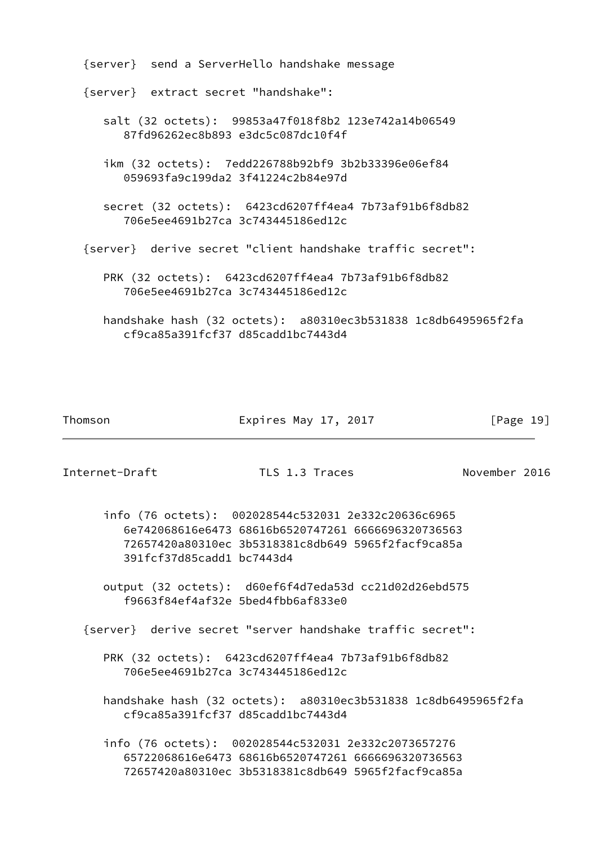| {server} send a ServerHello handshake message                                                      |  |
|----------------------------------------------------------------------------------------------------|--|
| {server} extract secret "handshake":                                                               |  |
| salt (32 octets): 99853a47f018f8b2 123e742a14b06549<br>87fd96262ec8b893 e3dc5c087dc10f4f           |  |
| ikm (32 octets): 7edd226788b92bf9 3b2b33396e06ef84<br>059693fa9c199da2 3f41224c2b84e97d            |  |
| secret (32 octets): 6423cd6207ff4ea4 7b73af91b6f8db82<br>706e5ee4691b27ca 3c743445186ed12c         |  |
| {server} derive secret "client handshake traffic secret":                                          |  |
| PRK (32 octets): 6423cd6207ff4ea4 7b73af91b6f8db82<br>706e5ee4691b27ca 3c743445186ed12c            |  |
| handshake hash (32 octets): a80310ec3b531838 1c8db6495965f2fa<br>cf9ca85a391fcf37 d85cadd1bc7443d4 |  |

Thomson **Expires May 17, 2017** [Page 19]

Internet-Draft TLS 1.3 Traces November 2016

 info (76 octets): 002028544c532031 2e332c20636c6965 6e742068616e6473 68616b6520747261 6666696320736563 72657420a80310ec 3b5318381c8db649 5965f2facf9ca85a 391fcf37d85cadd1 bc7443d4

 output (32 octets): d60ef6f4d7eda53d cc21d02d26ebd575 f9663f84ef4af32e 5bed4fbb6af833e0

{server} derive secret "server handshake traffic secret":

 PRK (32 octets): 6423cd6207ff4ea4 7b73af91b6f8db82 706e5ee4691b27ca 3c743445186ed12c

 handshake hash (32 octets): a80310ec3b531838 1c8db6495965f2fa cf9ca85a391fcf37 d85cadd1bc7443d4

 info (76 octets): 002028544c532031 2e332c2073657276 65722068616e6473 68616b6520747261 6666696320736563 72657420a80310ec 3b5318381c8db649 5965f2facf9ca85a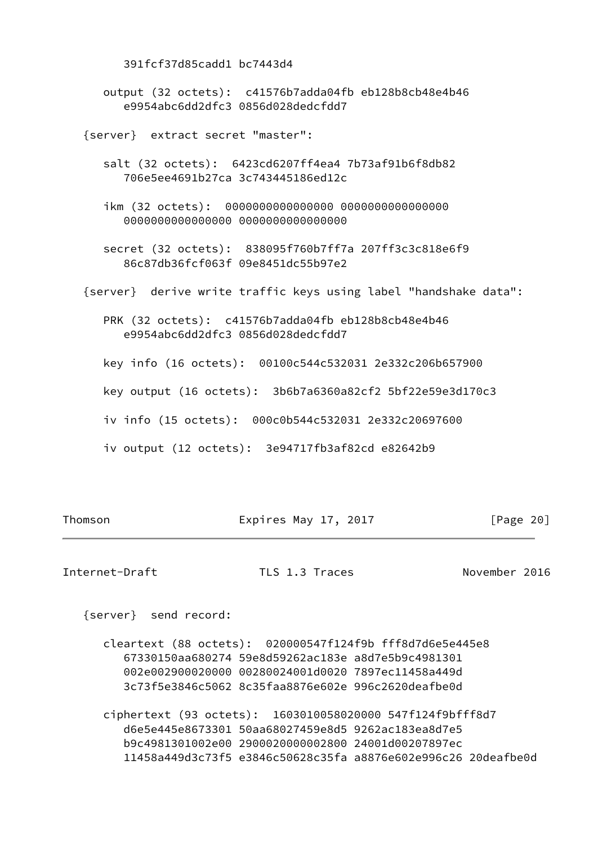391fcf37d85cadd1 bc7443d4 output (32 octets): c41576b7adda04fb eb128b8cb48e4b46 e9954abc6dd2dfc3 0856d028dedcfdd7 {server} extract secret "master": salt (32 octets): 6423cd6207ff4ea4 7b73af91b6f8db82 706e5ee4691b27ca 3c743445186ed12c ikm (32 octets): 0000000000000000 0000000000000000 0000000000000000 0000000000000000 secret (32 octets): 838095f760b7ff7a 207ff3c3c818e6f9 86c87db36fcf063f 09e8451dc55b97e2 {server} derive write traffic keys using label "handshake data": PRK (32 octets): c41576b7adda04fb eb128b8cb48e4b46 e9954abc6dd2dfc3 0856d028dedcfdd7 key info (16 octets): 00100c544c532031 2e332c206b657900 key output (16 octets): 3b6b7a6360a82cf2 5bf22e59e3d170c3 iv info (15 octets): 000c0b544c532031 2e332c20697600 iv output (12 octets): 3e94717fb3af82cd e82642b9

Thomson **Expires May 17, 2017** [Page 20]

Internet-Draft TLS 1.3 Traces November 2016

{server} send record:

 cleartext (88 octets): 020000547f124f9b fff8d7d6e5e445e8 67330150aa680274 59e8d59262ac183e a8d7e5b9c4981301 002e002900020000 00280024001d0020 7897ec11458a449d 3c73f5e3846c5062 8c35faa8876e602e 996c2620deafbe0d

 ciphertext (93 octets): 1603010058020000 547f124f9bfff8d7 d6e5e445e8673301 50aa68027459e8d5 9262ac183ea8d7e5 b9c4981301002e00 2900020000002800 24001d00207897ec 11458a449d3c73f5 e3846c50628c35fa a8876e602e996c26 20deafbe0d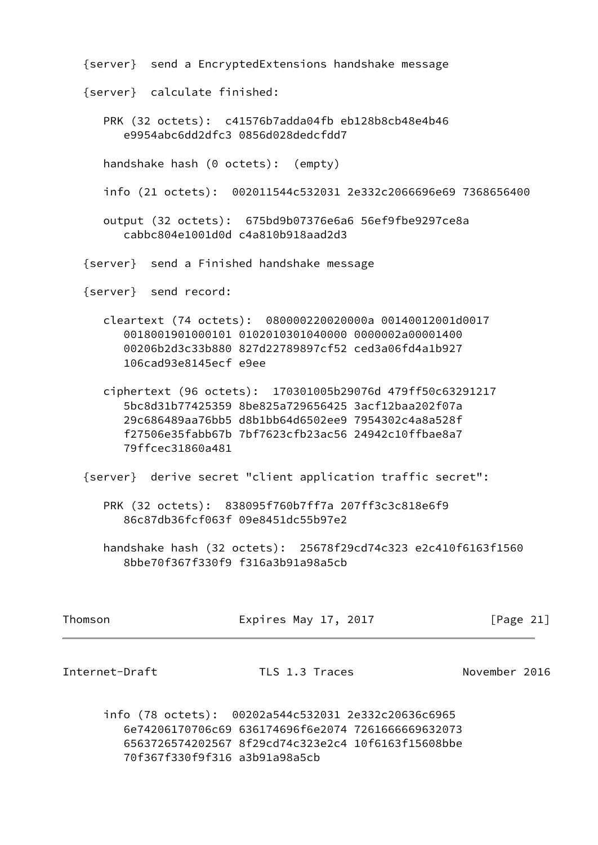{server} send a EncryptedExtensions handshake message

{server} calculate finished:

 PRK (32 octets): c41576b7adda04fb eb128b8cb48e4b46 e9954abc6dd2dfc3 0856d028dedcfdd7

handshake hash (0 octets): (empty)

info (21 octets): 002011544c532031 2e332c2066696e69 7368656400

 output (32 octets): 675bd9b07376e6a6 56ef9fbe9297ce8a cabbc804e1001d0d c4a810b918aad2d3

{server} send a Finished handshake message

{server} send record:

- cleartext (74 octets): 080000220020000a 00140012001d0017 0018001901000101 0102010301040000 0000002a00001400 00206b2d3c33b880 827d22789897cf52 ced3a06fd4a1b927 106cad93e8145ecf e9ee
- ciphertext (96 octets): 170301005b29076d 479ff50c63291217 5bc8d31b77425359 8be825a729656425 3acf12baa202f07a 29c686489aa76bb5 d8b1bb64d6502ee9 7954302c4a8a528f f27506e35fabb67b 7bf7623cfb23ac56 24942c10ffbae8a7 79ffcec31860a481

{server} derive secret "client application traffic secret":

 PRK (32 octets): 838095f760b7ff7a 207ff3c3c818e6f9 86c87db36fcf063f 09e8451dc55b97e2

 handshake hash (32 octets): 25678f29cd74c323 e2c410f6163f1560 8bbe70f367f330f9 f316a3b91a98a5cb

| Thomson | Expires May 17, 2017 | [Page 21] |
|---------|----------------------|-----------|
|         |                      |           |

Internet-Draft TLS 1.3 Traces November 2016

 info (78 octets): 00202a544c532031 2e332c20636c6965 6e74206170706c69 636174696f6e2074 7261666669632073 6563726574202567 8f29cd74c323e2c4 10f6163f15608bbe 70f367f330f9f316 a3b91a98a5cb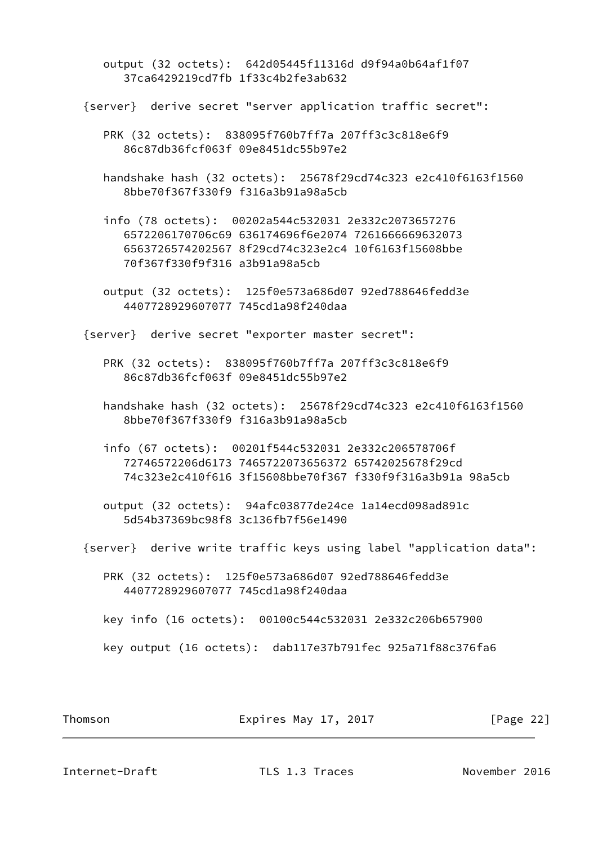output (32 octets): 642d05445f11316d d9f94a0b64af1f07 37ca6429219cd7fb 1f33c4b2fe3ab632

{server} derive secret "server application traffic secret":

 PRK (32 octets): 838095f760b7ff7a 207ff3c3c818e6f9 86c87db36fcf063f 09e8451dc55b97e2

 handshake hash (32 octets): 25678f29cd74c323 e2c410f6163f1560 8bbe70f367f330f9 f316a3b91a98a5cb

 info (78 octets): 00202a544c532031 2e332c2073657276 6572206170706c69 636174696f6e2074 7261666669632073 6563726574202567 8f29cd74c323e2c4 10f6163f15608bbe 70f367f330f9f316 a3b91a98a5cb

 output (32 octets): 125f0e573a686d07 92ed788646fedd3e 4407728929607077 745cd1a98f240daa

{server} derive secret "exporter master secret":

 PRK (32 octets): 838095f760b7ff7a 207ff3c3c818e6f9 86c87db36fcf063f 09e8451dc55b97e2

 handshake hash (32 octets): 25678f29cd74c323 e2c410f6163f1560 8bbe70f367f330f9 f316a3b91a98a5cb

 info (67 octets): 00201f544c532031 2e332c206578706f 72746572206d6173 7465722073656372 65742025678f29cd 74c323e2c410f616 3f15608bbe70f367 f330f9f316a3b91a 98a5cb

 output (32 octets): 94afc03877de24ce 1a14ecd098ad891c 5d54b37369bc98f8 3c136fb7f56e1490

{server} derive write traffic keys using label "application data":

 PRK (32 octets): 125f0e573a686d07 92ed788646fedd3e 4407728929607077 745cd1a98f240daa

key info (16 octets): 00100c544c532031 2e332c206b657900

key output (16 octets): dab117e37b791fec 925a71f88c376fa6

Thomson Expires May 17, 2017 [Page 22]

Internet-Draft TLS 1.3 Traces November 2016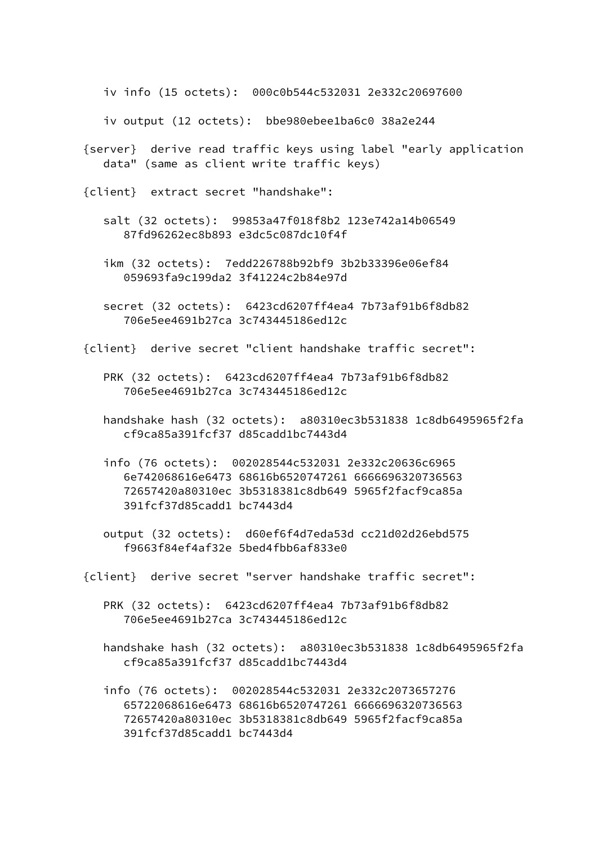iv info (15 octets): 000c0b544c532031 2e332c20697600

iv output (12 octets): bbe980ebee1ba6c0 38a2e244

- {server} derive read traffic keys using label "early application data" (same as client write traffic keys)
- {client} extract secret "handshake":
	- salt (32 octets): 99853a47f018f8b2 123e742a14b06549 87fd96262ec8b893 e3dc5c087dc10f4f
	- ikm (32 octets): 7edd226788b92bf9 3b2b33396e06ef84 059693fa9c199da2 3f41224c2b84e97d
	- secret (32 octets): 6423cd6207ff4ea4 7b73af91b6f8db82 706e5ee4691b27ca 3c743445186ed12c
- {client} derive secret "client handshake traffic secret":
	- PRK (32 octets): 6423cd6207ff4ea4 7b73af91b6f8db82 706e5ee4691b27ca 3c743445186ed12c
	- handshake hash (32 octets): a80310ec3b531838 1c8db6495965f2fa cf9ca85a391fcf37 d85cadd1bc7443d4
	- info (76 octets): 002028544c532031 2e332c20636c6965 6e742068616e6473 68616b6520747261 6666696320736563 72657420a80310ec 3b5318381c8db649 5965f2facf9ca85a 391fcf37d85cadd1 bc7443d4
	- output (32 octets): d60ef6f4d7eda53d cc21d02d26ebd575 f9663f84ef4af32e 5bed4fbb6af833e0
- {client} derive secret "server handshake traffic secret":
	- PRK (32 octets): 6423cd6207ff4ea4 7b73af91b6f8db82 706e5ee4691b27ca 3c743445186ed12c
	- handshake hash (32 octets): a80310ec3b531838 1c8db6495965f2fa cf9ca85a391fcf37 d85cadd1bc7443d4
	- info (76 octets): 002028544c532031 2e332c2073657276 65722068616e6473 68616b6520747261 6666696320736563 72657420a80310ec 3b5318381c8db649 5965f2facf9ca85a 391fcf37d85cadd1 bc7443d4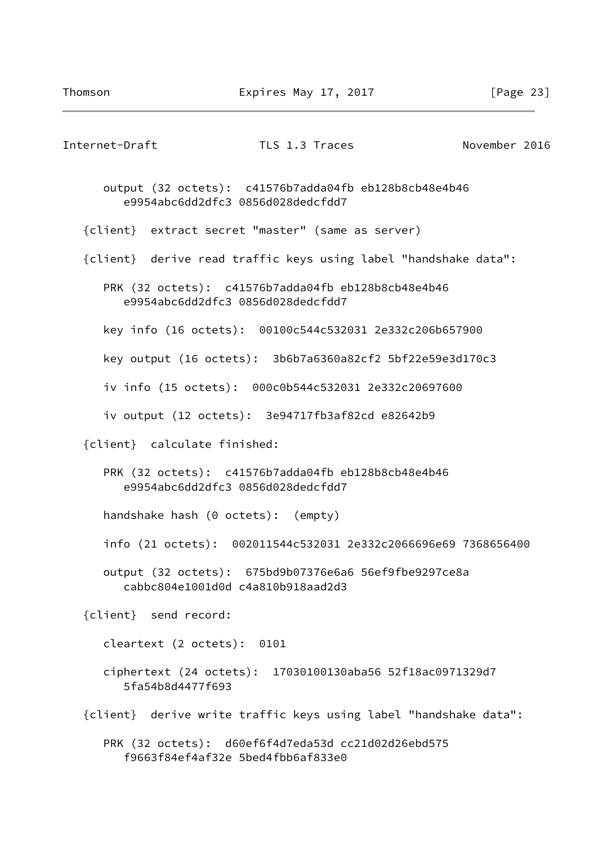| Internet-Draft                     | TLS 1.3 Traces                                                                             | November 2016 |
|------------------------------------|--------------------------------------------------------------------------------------------|---------------|
|                                    | output (32 octets): c41576b7adda04fb eb128b8cb48e4b46<br>e9954abc6dd2dfc3 0856d028dedcfdd7 |               |
|                                    | {client} extract secret "master" (same as server)                                          |               |
|                                    | {client} derive read traffic keys using label "handshake data":                            |               |
|                                    | PRK (32 octets): c41576b7adda04fb eb128b8cb48e4b46<br>e9954abc6dd2dfc3 0856d028dedcfdd7    |               |
|                                    | key info (16 octets): 00100c544c532031 2e332c206b657900                                    |               |
|                                    | key output (16 octets): 3b6b7a6360a82cf2 5bf22e59e3d170c3                                  |               |
|                                    | iv info (15 octets): 000c0b544c532031 2e332c20697600                                       |               |
|                                    | iv output (12 octets): 3e94717fb3af82cd e82642b9                                           |               |
| {client} calculate finished:       |                                                                                            |               |
|                                    | PRK (32 octets): c41576b7adda04fb eb128b8cb48e4b46<br>e9954abc6dd2dfc3 0856d028dedcfdd7    |               |
| handshake hash (0 octets): (empty) |                                                                                            |               |
|                                    | info (21 octets): 002011544c532031 2e332c2066696e69 7368656400                             |               |
|                                    | output (32 octets): 675bd9b07376e6a6 56ef9fbe9297ce8a<br>cabbc804e1001d0d c4a810b918aad2d3 |               |
| {client} send record:              |                                                                                            |               |
| cleartext (2 octets): 0101         |                                                                                            |               |
| 5fa54b8d4477f693                   | ciphertext (24 octets): 17030100130aba56 52f18ac0971329d7                                  |               |
|                                    | {client} derive write traffic keys using label "handshake data":                           |               |
|                                    | PRK (32 octets): d60ef6f4d7eda53d cc21d02d26ebd575<br>f9663f84ef4af32e 5bed4fbb6af833e0    |               |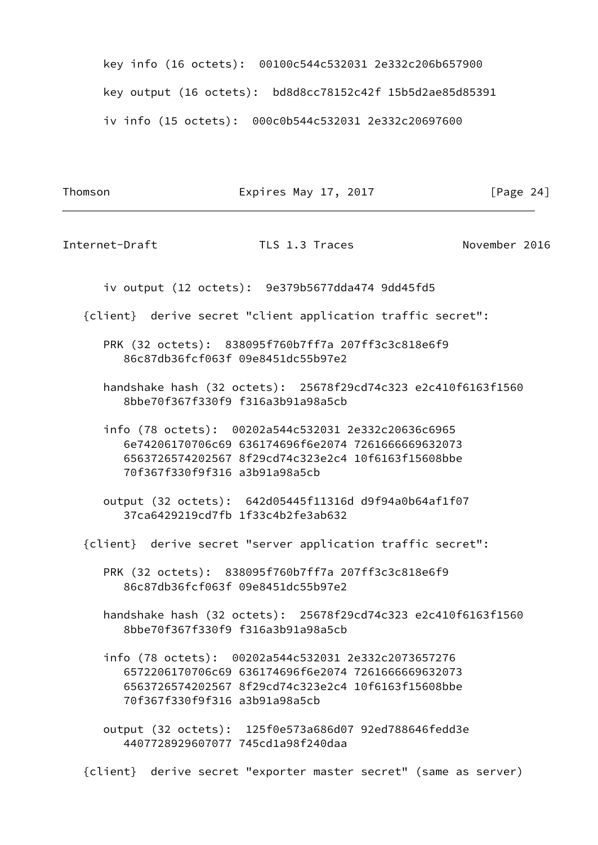key info (16 octets): 00100c544c532031 2e332c206b657900 key output (16 octets): bd8d8cc78152c42f 15b5d2ae85d85391 iv info (15 octets): 000c0b544c532031 2e332c20697600

Thomson **Expires May 17, 2017** [Page 24]

Internet-Draft TLS 1.3 Traces November 2016

iv output (12 octets): 9e379b5677dda474 9dd45fd5

{client} derive secret "client application traffic secret":

 PRK (32 octets): 838095f760b7ff7a 207ff3c3c818e6f9 86c87db36fcf063f 09e8451dc55b97e2

 handshake hash (32 octets): 25678f29cd74c323 e2c410f6163f1560 8bbe70f367f330f9 f316a3b91a98a5cb

 info (78 octets): 00202a544c532031 2e332c20636c6965 6e74206170706c69 636174696f6e2074 7261666669632073 6563726574202567 8f29cd74c323e2c4 10f6163f15608bbe 70f367f330f9f316 a3b91a98a5cb

 output (32 octets): 642d05445f11316d d9f94a0b64af1f07 37ca6429219cd7fb 1f33c4b2fe3ab632

{client} derive secret "server application traffic secret":

 PRK (32 octets): 838095f760b7ff7a 207ff3c3c818e6f9 86c87db36fcf063f 09e8451dc55b97e2

 handshake hash (32 octets): 25678f29cd74c323 e2c410f6163f1560 8bbe70f367f330f9 f316a3b91a98a5cb

 info (78 octets): 00202a544c532031 2e332c2073657276 6572206170706c69 636174696f6e2074 7261666669632073 6563726574202567 8f29cd74c323e2c4 10f6163f15608bbe 70f367f330f9f316 a3b91a98a5cb

 output (32 octets): 125f0e573a686d07 92ed788646fedd3e 4407728929607077 745cd1a98f240daa

{client} derive secret "exporter master secret" (same as server)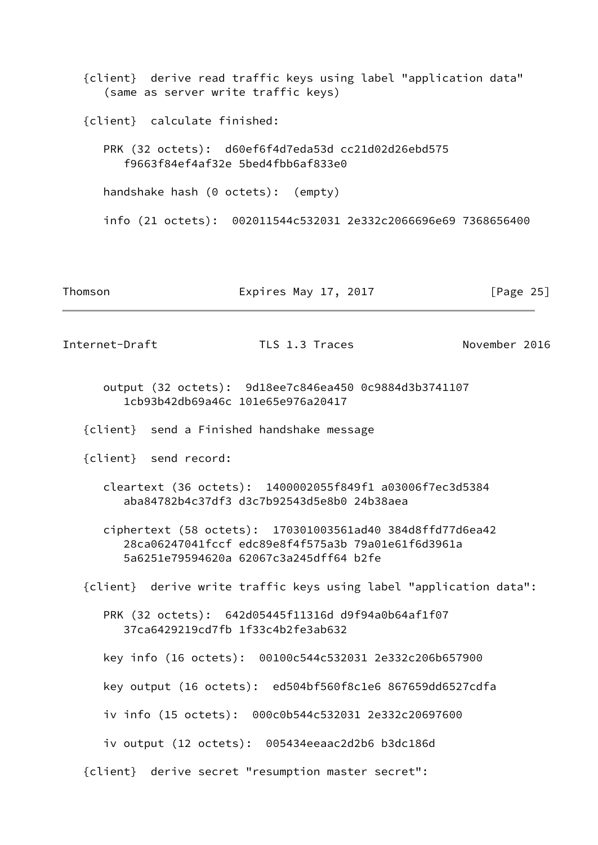{client} derive read traffic keys using label "application data" (same as server write traffic keys) {client} calculate finished: PRK (32 octets): d60ef6f4d7eda53d cc21d02d26ebd575 f9663f84ef4af32e 5bed4fbb6af833e0 handshake hash (0 octets): (empty) info (21 octets): 002011544c532031 2e332c2066696e69 7368656400 Thomson **Expires May 17, 2017** [Page 25] Internet-Draft TLS 1.3 Traces November 2016

 output (32 octets): 9d18ee7c846ea450 0c9884d3b3741107 1cb93b42db69a46c 101e65e976a20417

- {client} send a Finished handshake message
- {client} send record:
	- cleartext (36 octets): 1400002055f849f1 a03006f7ec3d5384 aba84782b4c37df3 d3c7b92543d5e8b0 24b38aea

 ciphertext (58 octets): 170301003561ad40 384d8ffd77d6ea42 28ca06247041fccf edc89e8f4f575a3b 79a01e61f6d3961a 5a6251e79594620a 62067c3a245dff64 b2fe

{client} derive write traffic keys using label "application data":

 PRK (32 octets): 642d05445f11316d d9f94a0b64af1f07 37ca6429219cd7fb 1f33c4b2fe3ab632

key info (16 octets): 00100c544c532031 2e332c206b657900

key output (16 octets): ed504bf560f8c1e6 867659dd6527cdfa

iv info (15 octets): 000c0b544c532031 2e332c20697600

iv output (12 octets): 005434eeaac2d2b6 b3dc186d

{client} derive secret "resumption master secret":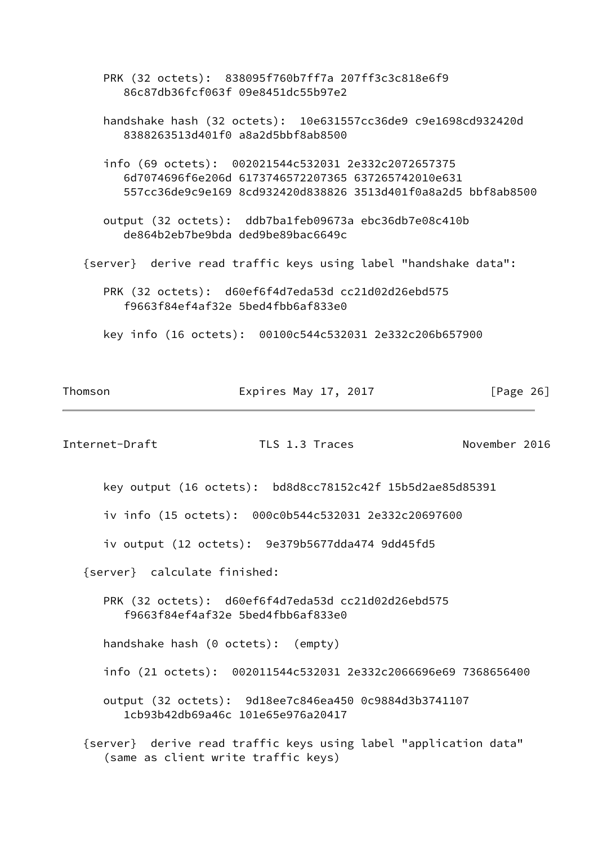PRK (32 octets): 838095f760b7ff7a 207ff3c3c818e6f9 86c87db36fcf063f 09e8451dc55b97e2

 handshake hash (32 octets): 10e631557cc36de9 c9e1698cd932420d 8388263513d401f0 a8a2d5bbf8ab8500

 info (69 octets): 002021544c532031 2e332c2072657375 6d7074696f6e206d 6173746572207365 637265742010e631 557cc36de9c9e169 8cd932420d838826 3513d401f0a8a2d5 bbf8ab8500

 output (32 octets): ddb7ba1feb09673a ebc36db7e08c410b de864b2eb7be9bda ded9be89bac6649c

{server} derive read traffic keys using label "handshake data":

 PRK (32 octets): d60ef6f4d7eda53d cc21d02d26ebd575 f9663f84ef4af32e 5bed4fbb6af833e0

key info (16 octets): 00100c544c532031 2e332c206b657900

| Thomson | Expires May 17, 2017 | [Page 26] |
|---------|----------------------|-----------|
|---------|----------------------|-----------|

Internet-Draft TLS 1.3 Traces November 2016

key output (16 octets): bd8d8cc78152c42f 15b5d2ae85d85391

iv info (15 octets): 000c0b544c532031 2e332c20697600

iv output (12 octets): 9e379b5677dda474 9dd45fd5

{server} calculate finished:

 PRK (32 octets): d60ef6f4d7eda53d cc21d02d26ebd575 f9663f84ef4af32e 5bed4fbb6af833e0

handshake hash (0 octets): (empty)

info (21 octets): 002011544c532031 2e332c2066696e69 7368656400

 output (32 octets): 9d18ee7c846ea450 0c9884d3b3741107 1cb93b42db69a46c 101e65e976a20417

 {server} derive read traffic keys using label "application data" (same as client write traffic keys)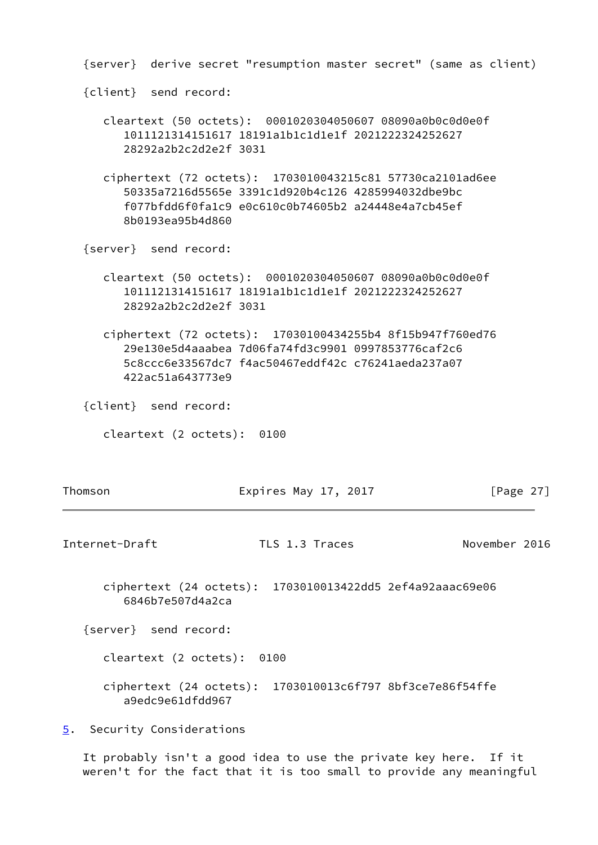{server} derive secret "resumption master secret" (same as client)

{client} send record:

- cleartext (50 octets): 0001020304050607 08090a0b0c0d0e0f 1011121314151617 18191a1b1c1d1e1f 2021222324252627 28292a2b2c2d2e2f 3031
- ciphertext (72 octets): 1703010043215c81 57730ca2101ad6ee 50335a7216d5565e 3391c1d920b4c126 4285994032dbe9bc f077bfdd6f0fa1c9 e0c610c0b74605b2 a24448e4a7cb45ef 8b0193ea95b4d860

{server} send record:

- cleartext (50 octets): 0001020304050607 08090a0b0c0d0e0f 1011121314151617 18191a1b1c1d1e1f 2021222324252627 28292a2b2c2d2e2f 3031
- ciphertext (72 octets): 17030100434255b4 8f15b947f760ed76 29e130e5d4aaabea 7d06fa74fd3c9901 0997853776caf2c6 5c8ccc6e33567dc7 f4ac50467eddf42c c76241aeda237a07 422ac51a643773e9

{client} send record:

cleartext (2 octets): 0100

<span id="page-30-1"></span>Thomson **Expires May 17, 2017** [Page 27] Internet-Draft TLS 1.3 Traces November 2016

 ciphertext (24 octets): 1703010013422dd5 2ef4a92aaac69e06 6846b7e507d4a2ca

{server} send record:

cleartext (2 octets): 0100

 ciphertext (24 octets): 1703010013c6f797 8bf3ce7e86f54ffe a9edc9e61dfdd967

<span id="page-30-0"></span>[5](#page-30-0). Security Considerations

 It probably isn't a good idea to use the private key here. If it weren't for the fact that it is too small to provide any meaningful